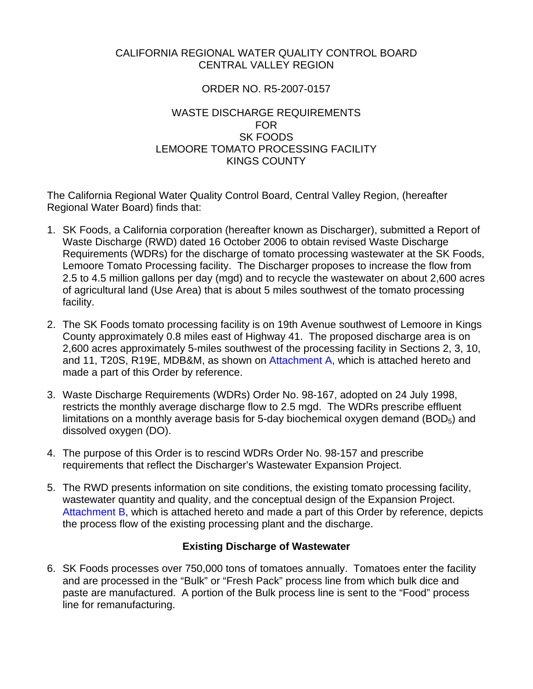### CALIFORNIA REGIONAL WATER QUALITY CONTROL BOARD CENTRAL VALLEY REGION

## ORDER NO. R5-2007-0157

#### WASTE DISCHARGE REQUIREMENTS FOR SK FOODS LEMOORE TOMATO PROCESSING FACILITY KINGS COUNTY

The California Regional Water Quality Control Board, Central Valley Region, (hereafter Regional Water Board) finds that:

- 1. SK Foods, a California corporation (hereafter known as Discharger), submitted a Report of Waste Discharge (RWD) dated 16 October 2006 to obtain revised Waste Discharge Requirements (WDRs) for the discharge of tomato processing wastewater at the SK Foods, Lemoore Tomato Processing facility. The Discharger proposes to increase the flow from 2.5 to 4.5 million gallons per day (mgd) and to recycle the wastewater on about 2,600 acres of agricultural land (Use Area) that is about 5 miles southwest of the tomato processing facility.
- 2. The SK Foods tomato processing facility is on 19th Avenue southwest of Lemoore in Kings County approximately 0.8 miles east of Highway 41. The proposed discharge area is on 2,600 acres approximately 5-miles southwest of the processing facility in Sections 2, 3, 10, and 11, T20S, R19E, MDB&M, as shown on Attachment A, which is attached hereto and made a part of this Order by reference.
- 3. Waste Discharge Requirements (WDRs) Order No. 98-167, adopted on 24 July 1998, restricts the monthly average discharge flow to 2.5 mgd. The WDRs prescribe effluent limitations on a monthly average basis for 5-day biochemical oxygen demand  $(BOD<sub>5</sub>)$  and dissolved oxygen (DO).
- 4. The purpose of this Order is to rescind WDRs Order No. 98-157 and prescribe requirements that reflect the Discharger's Wastewater Expansion Project.
- 5. The RWD presents information on site conditions, the existing tomato processing facility, wastewater quantity and quality, and the conceptual design of the Expansion Project. Attachment B, which is attached hereto and made a part of this Order by reference, depicts the process flow of the existing processing plant and the discharge.

### **Existing Discharge of Wastewater**

6. SK Foods processes over 750,000 tons of tomatoes annually. Tomatoes enter the facility and are processed in the "Bulk" or "Fresh Pack" process line from which bulk dice and paste are manufactured. A portion of the Bulk process line is sent to the "Food" process line for remanufacturing.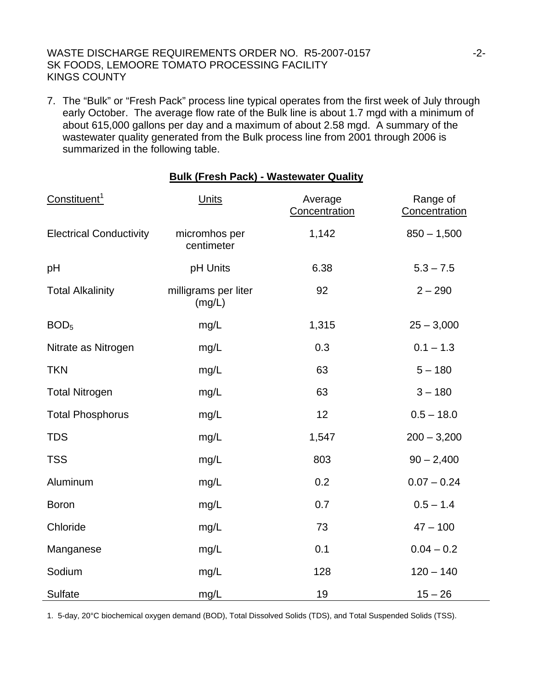7. The "Bulk" or "Fresh Pack" process line typical operates from the first week of July through early October. The average flow rate of the Bulk line is about 1.7 mgd with a minimum of about 615,000 gallons per day and a maximum of about 2.58 mgd. A summary of the wastewater quality generated from the Bulk process line from 2001 through 2006 is summarized in the following table.

**Bulk (Fresh Pack) - Wastewater Quality**

|                                | <u>, ain (1163111 avn) - </u>  | <u><i>Hasicwalle</i></u> guanty |                           |
|--------------------------------|--------------------------------|---------------------------------|---------------------------|
| Constituent <sup>1</sup>       | <b>Units</b>                   | Average<br>Concentration        | Range of<br>Concentration |
| <b>Electrical Conductivity</b> | micromhos per<br>centimeter    | 1,142                           | $850 - 1,500$             |
| pH                             | pH Units                       | 6.38                            | $5.3 - 7.5$               |
| <b>Total Alkalinity</b>        | milligrams per liter<br>(mg/L) | 92                              | $2 - 290$                 |
| BOD <sub>5</sub>               | mg/L                           | 1,315                           | $25 - 3,000$              |
| Nitrate as Nitrogen            | mg/L                           | 0.3                             | $0.1 - 1.3$               |
| <b>TKN</b>                     | mg/L                           | 63                              | $5 - 180$                 |
| <b>Total Nitrogen</b>          | mg/L                           | 63                              | $3 - 180$                 |
| <b>Total Phosphorus</b>        | mg/L                           | 12                              | $0.5 - 18.0$              |
| <b>TDS</b>                     | mg/L                           | 1,547                           | $200 - 3,200$             |
| <b>TSS</b>                     | mg/L                           | 803                             | $90 - 2,400$              |
| Aluminum                       | mg/L                           | 0.2                             | $0.07 - 0.24$             |
| <b>Boron</b>                   | mg/L                           | 0.7                             | $0.5 - 1.4$               |
| Chloride                       | mg/L                           | 73                              | $47 - 100$                |
| Manganese                      | mg/L                           | 0.1                             | $0.04 - 0.2$              |
| Sodium                         | mg/L                           | 128                             | $120 - 140$               |
| <b>Sulfate</b>                 | mg/L                           | 19                              | $15 - 26$                 |

1. 5-day, 20°C biochemical oxygen demand (BOD), Total Dissolved Solids (TDS), and Total Suspended Solids (TSS).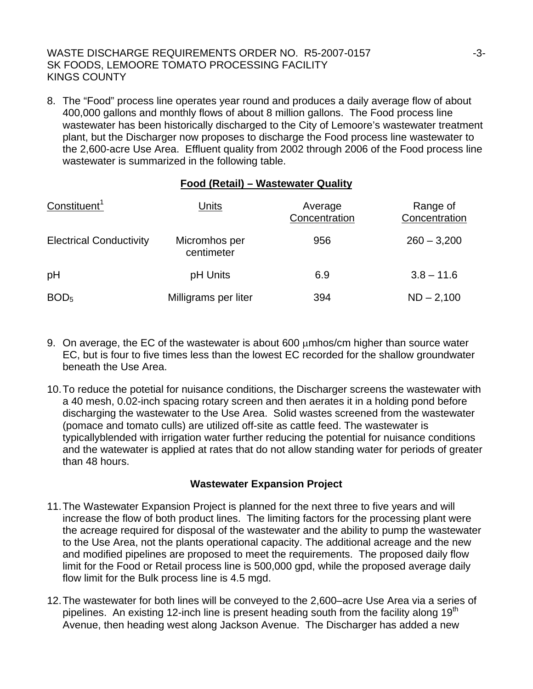8. The "Food" process line operates year round and produces a daily average flow of about 400,000 gallons and monthly flows of about 8 million gallons. The Food process line wastewater has been historically discharged to the City of Lemoore's wastewater treatment plant, but the Discharger now proposes to discharge the Food process line wastewater to the 2,600-acre Use Area. Effluent quality from 2002 through 2006 of the Food process line wastewater is summarized in the following table.

## **Food (Retail) – Wastewater Quality**

| Constituent <sup>1</sup>       | Units                       | Average<br>Concentration | Range of<br>Concentration |
|--------------------------------|-----------------------------|--------------------------|---------------------------|
| <b>Electrical Conductivity</b> | Micromhos per<br>centimeter | 956                      | $260 - 3,200$             |
| pH                             | pH Units                    | 6.9                      | $3.8 - 11.6$              |
| BOD <sub>5</sub>               | Milligrams per liter        | 394                      | $ND - 2,100$              |

- 9. On average, the EC of the wastewater is about 600 μmhos/cm higher than source water EC, but is four to five times less than the lowest EC recorded for the shallow groundwater beneath the Use Area.
- 10. To reduce the potetial for nuisance conditions, the Discharger screens the wastewater with a 40 mesh, 0.02-inch spacing rotary screen and then aerates it in a holding pond before discharging the wastewater to the Use Area. Solid wastes screened from the wastewater (pomace and tomato culls) are utilized off-site as cattle feed. The wastewater is typicallyblended with irrigation water further reducing the potential for nuisance conditions and the watewater is applied at rates that do not allow standing water for periods of greater than 48 hours.

### **Wastewater Expansion Project**

- 11. The Wastewater Expansion Project is planned for the next three to five years and will increase the flow of both product lines. The limiting factors for the processing plant were the acreage required for disposal of the wastewater and the ability to pump the wastewater to the Use Area, not the plants operational capacity. The additional acreage and the new and modified pipelines are proposed to meet the requirements. The proposed daily flow limit for the Food or Retail process line is 500,000 gpd, while the proposed average daily flow limit for the Bulk process line is 4.5 mgd.
- 12. The wastewater for both lines will be conveyed to the 2,600–acre Use Area via a series of pipelines. An existing 12-inch line is present heading south from the facility along 19<sup>th</sup> Avenue, then heading west along Jackson Avenue. The Discharger has added a new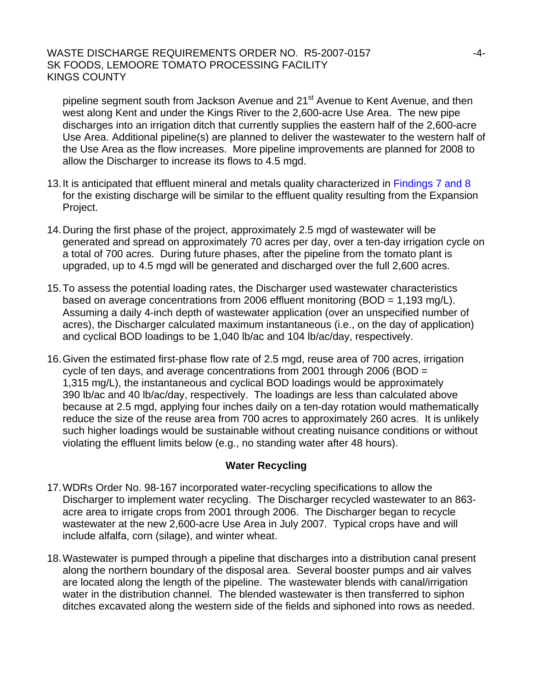pipeline segment south from Jackson Avenue and 21<sup>st</sup> Avenue to Kent Avenue, and then west along Kent and under the Kings River to the 2,600-acre Use Area. The new pipe discharges into an irrigation ditch that currently supplies the eastern half of the 2,600-acre Use Area. Additional pipeline(s) are planned to deliver the wastewater to the western half of the Use Area as the flow increases. More pipeline improvements are planned for 2008 to allow the Discharger to increase its flows to 4.5 mgd.

- 13. It is anticipated that effluent mineral and metals quality characterized in Findings 7 and 8 for the existing discharge will be similar to the effluent quality resulting from the Expansion Project.
- 14. During the first phase of the project, approximately 2.5 mgd of wastewater will be generated and spread on approximately 70 acres per day, over a ten-day irrigation cycle on a total of 700 acres. During future phases, after the pipeline from the tomato plant is upgraded, up to 4.5 mgd will be generated and discharged over the full 2,600 acres.
- 15. To assess the potential loading rates, the Discharger used wastewater characteristics based on average concentrations from 2006 effluent monitoring (BOD =  $1,193$  mg/L). Assuming a daily 4-inch depth of wastewater application (over an unspecified number of acres), the Discharger calculated maximum instantaneous (i.e., on the day of application) and cyclical BOD loadings to be 1,040 lb/ac and 104 lb/ac/day, respectively.
- 16. Given the estimated first-phase flow rate of 2.5 mgd, reuse area of 700 acres, irrigation cycle of ten days, and average concentrations from 2001 through 2006 (BOD = 1,315 mg/L), the instantaneous and cyclical BOD loadings would be approximately 390 lb/ac and 40 lb/ac/day, respectively. The loadings are less than calculated above because at 2.5 mgd, applying four inches daily on a ten-day rotation would mathematically reduce the size of the reuse area from 700 acres to approximately 260 acres. It is unlikely such higher loadings would be sustainable without creating nuisance conditions or without violating the effluent limits below (e.g., no standing water after 48 hours).

### **Water Recycling**

- 17. WDRs Order No. 98-167 incorporated water-recycling specifications to allow the Discharger to implement water recycling. The Discharger recycled wastewater to an 863 acre area to irrigate crops from 2001 through 2006. The Discharger began to recycle wastewater at the new 2,600-acre Use Area in July 2007. Typical crops have and will include alfalfa, corn (silage), and winter wheat.
- 18. Wastewater is pumped through a pipeline that discharges into a distribution canal present along the northern boundary of the disposal area. Several booster pumps and air valves are located along the length of the pipeline. The wastewater blends with canal/irrigation water in the distribution channel. The blended wastewater is then transferred to siphon ditches excavated along the western side of the fields and siphoned into rows as needed.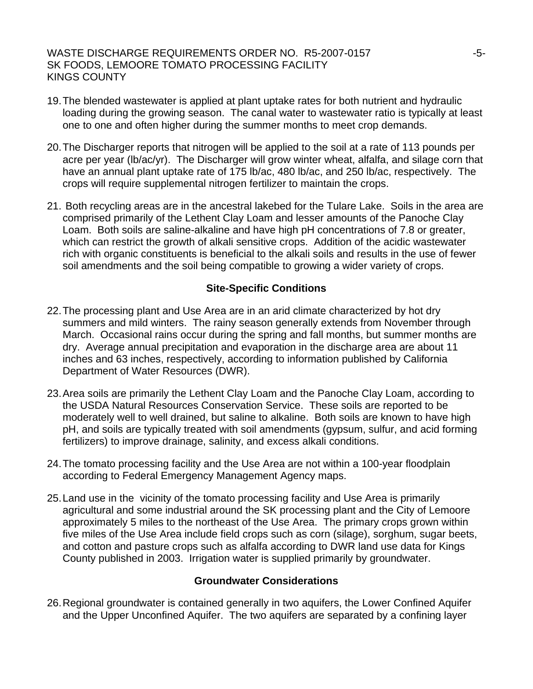- 19. The blended wastewater is applied at plant uptake rates for both nutrient and hydraulic loading during the growing season. The canal water to wastewater ratio is typically at least one to one and often higher during the summer months to meet crop demands.
- 20. The Discharger reports that nitrogen will be applied to the soil at a rate of 113 pounds per acre per year (lb/ac/yr). The Discharger will grow winter wheat, alfalfa, and silage corn that have an annual plant uptake rate of 175 lb/ac, 480 lb/ac, and 250 lb/ac, respectively. The crops will require supplemental nitrogen fertilizer to maintain the crops.
- 21. Both recycling areas are in the ancestral lakebed for the Tulare Lake. Soils in the area are comprised primarily of the Lethent Clay Loam and lesser amounts of the Panoche Clay Loam. Both soils are saline-alkaline and have high pH concentrations of 7.8 or greater, which can restrict the growth of alkali sensitive crops. Addition of the acidic wastewater rich with organic constituents is beneficial to the alkali soils and results in the use of fewer soil amendments and the soil being compatible to growing a wider variety of crops.

#### **Site-Specific Conditions**

- 22. The processing plant and Use Area are in an arid climate characterized by hot dry summers and mild winters. The rainy season generally extends from November through March. Occasional rains occur during the spring and fall months, but summer months are dry. Average annual precipitation and evaporation in the discharge area are about 11 inches and 63 inches, respectively, according to information published by California Department of Water Resources (DWR).
- 23. Area soils are primarily the Lethent Clay Loam and the Panoche Clay Loam, according to the USDA Natural Resources Conservation Service. These soils are reported to be moderately well to well drained, but saline to alkaline. Both soils are known to have high pH, and soils are typically treated with soil amendments (gypsum, sulfur, and acid forming fertilizers) to improve drainage, salinity, and excess alkali conditions.
- 24. The tomato processing facility and the Use Area are not within a 100-year floodplain according to Federal Emergency Management Agency maps.
- 25. Land use in the vicinity of the tomato processing facility and Use Area is primarily agricultural and some industrial around the SK processing plant and the City of Lemoore approximately 5 miles to the northeast of the Use Area. The primary crops grown within five miles of the Use Area include field crops such as corn (silage), sorghum, sugar beets, and cotton and pasture crops such as alfalfa according to DWR land use data for Kings County published in 2003. Irrigation water is supplied primarily by groundwater.

#### **Groundwater Considerations**

26. Regional groundwater is contained generally in two aquifers, the Lower Confined Aquifer and the Upper Unconfined Aquifer. The two aquifers are separated by a confining layer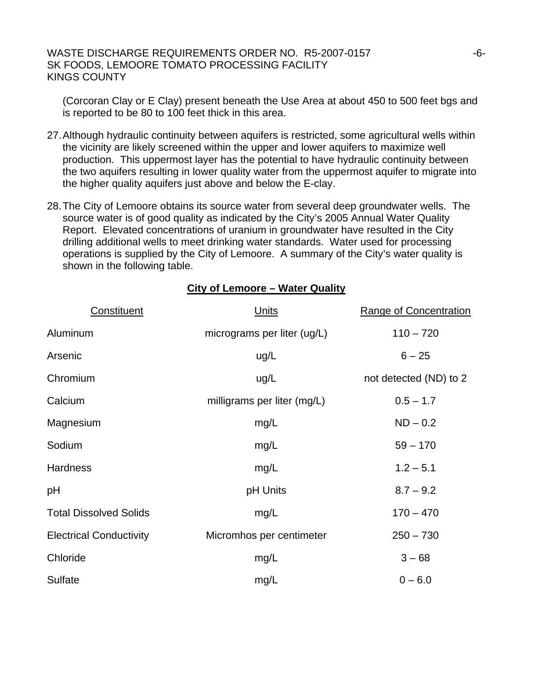(Corcoran Clay or E Clay) present beneath the Use Area at about 450 to 500 feet bgs and is reported to be 80 to 100 feet thick in this area.

- 27. Although hydraulic continuity between aquifers is restricted, some agricultural wells within the vicinity are likely screened within the upper and lower aquifers to maximize well production. This uppermost layer has the potential to have hydraulic continuity between the two aquifers resulting in lower quality water from the uppermost aquifer to migrate into the higher quality aquifers just above and below the E-clay.
- 28. The City of Lemoore obtains its source water from several deep groundwater wells. The source water is of good quality as indicated by the City's 2005 Annual Water Quality Report. Elevated concentrations of uranium in groundwater have resulted in the City drilling additional wells to meet drinking water standards. Water used for processing operations is supplied by the City of Lemoore. A summary of the City's water quality is shown in the following table.

**City of Lemoore – Water Quality**

| Constituent                    | Units                       | <b>Range of Concentration</b> |
|--------------------------------|-----------------------------|-------------------------------|
| Aluminum                       | micrograms per liter (ug/L) | $110 - 720$                   |
| Arsenic                        | ug/L                        | $6 - 25$                      |
| Chromium                       | ug/L                        | not detected (ND) to 2        |
| Calcium                        | milligrams per liter (mg/L) | $0.5 - 1.7$                   |
| Magnesium                      | mg/L                        | $ND - 0.2$                    |
| Sodium                         | mg/L                        | $59 - 170$                    |
| <b>Hardness</b>                | mg/L                        | $1.2 - 5.1$                   |
| pH                             | pH Units                    | $8.7 - 9.2$                   |
| <b>Total Dissolved Solids</b>  | mg/L                        | $170 - 470$                   |
| <b>Electrical Conductivity</b> | Micromhos per centimeter    | $250 - 730$                   |
| Chloride                       | mg/L                        | $3 - 68$                      |
| Sulfate                        | mg/L                        | $0 - 6.0$                     |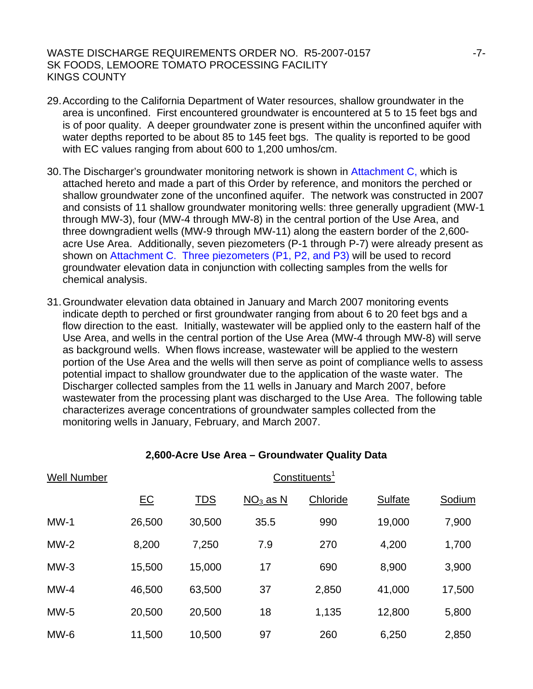- 29. According to the California Department of Water resources, shallow groundwater in the area is unconfined. First encountered groundwater is encountered at 5 to 15 feet bgs and is of poor quality. A deeper groundwater zone is present within the unconfined aquifer with water depths reported to be about 85 to 145 feet bgs. The quality is reported to be good with EC values ranging from about 600 to 1,200 umhos/cm.
- 30. The Discharger's groundwater monitoring network is shown in Attachment C, which is attached hereto and made a part of this Order by reference, and monitors the perched or shallow groundwater zone of the unconfined aquifer. The network was constructed in 2007 and consists of 11 shallow groundwater monitoring wells: three generally upgradient (MW-1 through MW-3), four (MW-4 through MW-8) in the central portion of the Use Area, and three downgradient wells (MW-9 through MW-11) along the eastern border of the 2,600 ance Letting contribution in the exercise of  $P-1$  through P-7) were already present as shown on Attachment C. Three piezometers (P1, P2, and P3) will be used to record groundwater elevation data in conjunction with collecting samples from the wells for chemical analysis.
- 31. Groundwater elevation data obtained in January and March 2007 monitoring events indicate depth to perched or first groundwater ranging from about 6 to 20 feet bgs and a flow direction to the east. Initially, wastewater will be applied only to the eastern half of the Use Area, and wells in the central portion of the Use Area (MW-4 through MW-8) will serve as background wells. When flows increase, wastewater will be applied to the western portion of the Use Area and the wells will then serve as point of compliance wells to assess potential impact to shallow groundwater due to the application of the waste water. The Discharger collected samples from the 11 wells in January and March 2007, before wastewater from the processing plant was discharged to the Use Area. The following table characterizes average concentrations of groundwater samples collected from the monitoring wells in January, February, and March 2007.

| <b>Well Number</b> | Constituents <sup>1</sup> |            |            |          |         |        |
|--------------------|---------------------------|------------|------------|----------|---------|--------|
|                    | E C                       | <b>TDS</b> | $NO3$ as N | Chloride | Sulfate | Sodium |
| $MW-1$             | 26,500                    | 30,500     | 35.5       | 990      | 19,000  | 7,900  |
| $MW-2$             | 8,200                     | 7,250      | 7.9        | 270      | 4,200   | 1,700  |
| $MW-3$             | 15,500                    | 15,000     | 17         | 690      | 8,900   | 3,900  |
| $MW-4$             | 46,500                    | 63,500     | 37         | 2,850    | 41,000  | 17,500 |
| $MW-5$             | 20,500                    | 20,500     | 18         | 1,135    | 12,800  | 5,800  |
| $MW-6$             | 11,500                    | 10,500     | 97         | 260      | 6,250   | 2,850  |

#### **2,600-Acre Use Area – Groundwater Quality Data**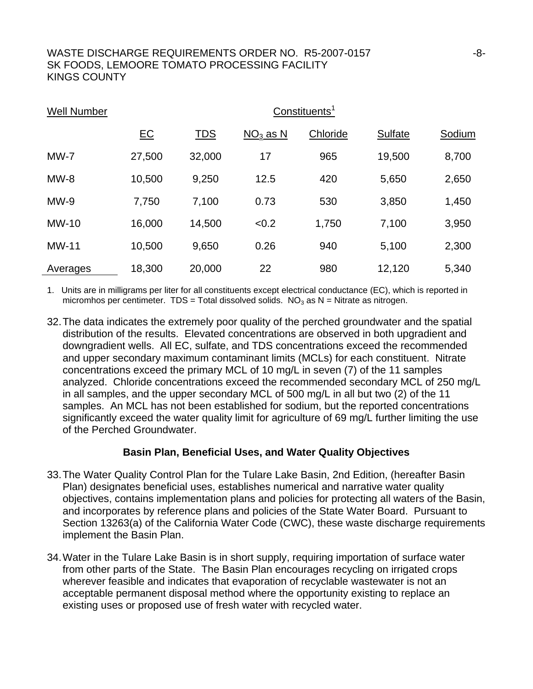| <b>Well Number</b> |        |            |                 | Constituents <sup>1</sup> |         |        |
|--------------------|--------|------------|-----------------|---------------------------|---------|--------|
|                    | $E$ C  | <b>TDS</b> | <u>NO3 as N</u> | Chloride                  | Sulfate | Sodium |
| $MW-7$             | 27,500 | 32,000     | 17              | 965                       | 19,500  | 8,700  |
| $MW-8$             | 10,500 | 9,250      | 12.5            | 420                       | 5,650   | 2,650  |
| $MW-9$             | 7,750  | 7,100      | 0.73            | 530                       | 3,850   | 1,450  |
| <b>MW-10</b>       | 16,000 | 14,500     | < 0.2           | 1,750                     | 7,100   | 3,950  |
| <b>MW-11</b>       | 10,500 | 9,650      | 0.26            | 940                       | 5,100   | 2,300  |
| Averages           | 18,300 | 20,000     | 22              | 980                       | 12,120  | 5,340  |

1. Units are in milligrams per liter for all constituents except electrical conductance (EC), which is reported in micromhos per centimeter.  $TDS = Total$  dissolved solids.  $NO<sub>3</sub>$  as  $N =$  Nitrate as nitrogen.

32. The data indicates the extremely poor quality of the perched groundwater and the spatial distribution of the results. Elevated concentrations are observed in both upgradient and downgradient wells. All EC, sulfate, and TDS concentrations exceed the recommended and upper secondary maximum contaminant limits (MCLs) for each constituent. Nitrate concentrations exceed the primary MCL of 10 mg/L in seven (7) of the 11 samples analyzed. Chloride concentrations exceed the recommended secondary MCL of 250 mg/L in all samples, and the upper secondary MCL of 500 mg/L in all but two (2) of the 11 samples. An MCL has not been established for sodium, but the reported concentrations significantly exceed the water quality limit for agriculture of 69 mg/L further limiting the use of the Perched Groundwater.

#### **Basin Plan, Beneficial Uses, and Water Quality Objectives**

- 33. The Water Quality Control Plan for the Tulare Lake Basin, 2nd Edition, (hereafter Basin Plan) designates beneficial uses, establishes numerical and narrative water quality objectives, contains implementation plans and policies for protecting all waters of the Basin, and incorporates by reference plans and policies of the State Water Board. Pursuant to Section 13263(a) of the California Water Code (CWC), these waste discharge requirements implement the Basin Plan.
- 34. Water in the Tulare Lake Basin is in short supply, requiring importation of surface water from other parts of the State. The Basin Plan encourages recycling on irrigated crops wherever feasible and indicates that evaporation of recyclable wastewater is not an acceptable permanent disposal method where the opportunity existing to replace an existing uses or proposed use of fresh water with recycled water.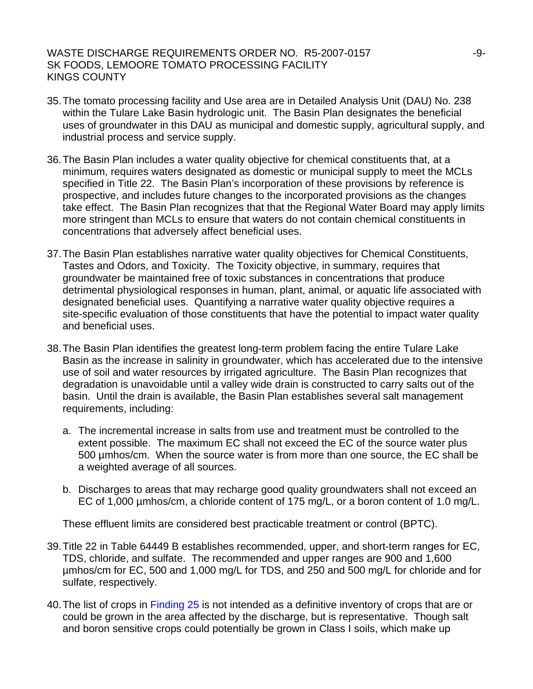- 35. The tomato processing facility and Use area are in Detailed Analysis Unit (DAU) No. 238 within the Tulare Lake Basin hydrologic unit. The Basin Plan designates the beneficial uses of groundwater in this DAU as municipal and domestic supply, agricultural supply, and industrial process and service supply.
- 36. The Basin Plan includes a water quality objective for chemical constituents that, at a minimum, requires waters designated as domestic or municipal supply to meet the MCLs specified in Title 22. The Basin Plan's incorporation of these provisions by reference is prospective, and includes future changes to the incorporated provisions as the changes take effect. The Basin Plan recognizes that that the Regional Water Board may apply limits more stringent than MCLs to ensure that waters do not contain chemical constituents in concentrations that adversely affect beneficial uses.
- 37. The Basin Plan establishes narrative water quality objectives for Chemical Constituents, Tastes and Odors, and Toxicity. The Toxicity objective, in summary, requires that groundwater be maintained free of toxic substances in concentrations that produce detrimental physiological responses in human, plant, animal, or aquatic life associated with designated beneficial uses. Quantifying a narrative water quality objective requires a site-specific evaluation of those constituents that have the potential to impact water quality and beneficial uses.
- 38. The Basin Plan identifies the greatest long-term problem facing the entire Tulare Lake Basin as the increase in salinity in groundwater, which has accelerated due to the intensive use of soil and water resources by irrigated agriculture. The Basin Plan recognizes that degradation is unavoidable until a valley wide drain is constructed to carry salts out of the basin. Until the drain is available, the Basin Plan establishes several salt management requirements, including:
	- a. The incremental increase in salts from use and treatment must be controlled to the extent possible. The maximum EC shall not exceed the EC of the source water plus 500 µmhos/cm. When the source water is from more than one source, the EC shall be a weighted average of all sources.
	- b. Discharges to areas that may recharge good quality groundwaters shall not exceed an EC of 1,000 µmhos/cm, a chloride content of 175 mg/L, or a boron content of 1.0 mg/L.

These effluent limits are considered best practicable treatment or control (BPTC).

- 39. Title 22 in Table 64449 B establishes recommended, upper, and short-term ranges for EC, TDS, chloride, and sulfate. The recommended and upper ranges are 900 and 1,600 µmhos/cm for EC, 500 and 1,000 mg/L for TDS, and 250 and 500 mg/L for chloride and for sulfate, respectively.
- 40. The list of crops in Finding 25 is not intended as a definitive inventory of crops that are or could be grown in the area affected by the discharge, but is representative. Though salt and boron sensitive crops could potentially be grown in Class I soils, which make up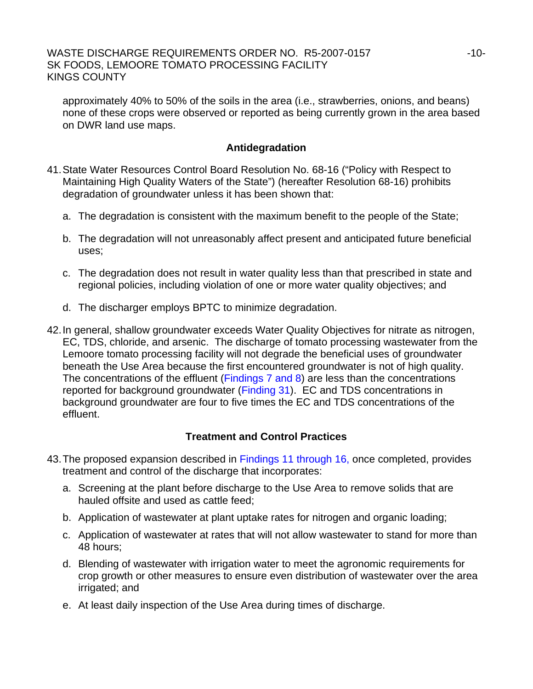approximately 40% to 50% of the soils in the area (i.e., strawberries, onions, and beans) none of these crops were observed or reported as being currently grown in the area based on DWR land use maps.

## **Antidegradation**

- 41. State Water Resources Control Board Resolution No. 68-16 ("Policy with Respect to Maintaining High Quality Waters of the State") (hereafter Resolution 68-16) prohibits degradation of groundwater unless it has been shown that:
	- a. The degradation is consistent with the maximum benefit to the people of the State;
	- b. The degradation will not unreasonably affect present and anticipated future beneficial uses;
	- c. The degradation does not result in water quality less than that prescribed in state and regional policies, including violation of one or more water quality objectives; and
	- d. The discharger employs BPTC to minimize degradation.
- 42. In general, shallow groundwater exceeds Water Quality Objectives for nitrate as nitrogen, EC, TDS, chloride, and arsenic. The discharge of tomato processing wastewater from the Lemoore tomato processing facility will not degrade the beneficial uses of groundwater beneath the Use Area because the first encountered groundwater is not of high quality. The concentrations of the effluent (Findings 7 and 8) are less than the concentrations reported for background groundwater (Finding 31). EC and TDS concentrations in background groundwater are four to five times the EC and TDS concentrations of the effluent.

## **Treatment and Control Practices**

- 43. The proposed expansion described in Findings 11 through 16, once completed, provides treatment and control of the discharge that incorporates:
	- a. Screening at the plant before discharge to the Use Area to remove solids that are hauled offsite and used as cattle feed;
	- b. Application of wastewater at plant uptake rates for nitrogen and organic loading;
	- c. Application of wastewater at rates that will not allow wastewater to stand for more than 48 hours;
	- d. Blending of wastewater with irrigation water to meet the agronomic requirements for crop growth or other measures to ensure even distribution of wastewater over the area irrigated; and
	- e. At least daily inspection of the Use Area during times of discharge.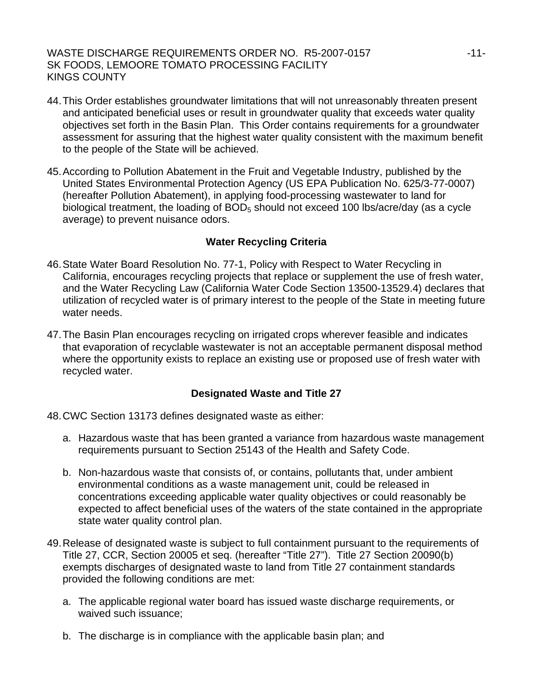- 44. This Order establishes groundwater limitations that will not unreasonably threaten present and anticipated beneficial uses or result in groundwater quality that exceeds water quality objectives set forth in the Basin Plan. This Order contains requirements for a groundwater assessment for assuring that the highest water quality consistent with the maximum benefit to the people of the State will be achieved.
- 45. According to Pollution Abatement in the Fruit and Vegetable Industry, published by the United States Environmental Protection Agency (US EPA Publication No. 625/3-77-0007) (hereafter Pollution Abatement), in applying food-processing wastewater to land for biological treatment, the loading of  $BOD<sub>5</sub>$  should not exceed 100 lbs/acre/day (as a cycle average) to prevent nuisance odors.

### **Water Recycling Criteria**

- 46. State Water Board Resolution No. 77-1, Policy with Respect to Water Recycling in California, encourages recycling projects that replace or supplement the use of fresh water, and the Water Recycling Law (California Water Code Section 13500-13529.4) declares that utilization of recycled water is of primary interest to the people of the State in meeting future water needs.
- 47. The Basin Plan encourages recycling on irrigated crops wherever feasible and indicates that evaporation of recyclable wastewater is not an acceptable permanent disposal method where the opportunity exists to replace an existing use or proposed use of fresh water with recycled water.

### **Designated Waste and Title 27**

48. CWC Section 13173 defines designated waste as either:

- a. Hazardous waste that has been granted a variance from hazardous waste management requirements pursuant to Section 25143 of the Health and Safety Code.
- b. Non-hazardous waste that consists of, or contains, pollutants that, under ambient environmental conditions as a waste management unit, could be released in concentrations exceeding applicable water quality objectives or could reasonably be expected to affect beneficial uses of the waters of the state contained in the appropriate state water quality control plan.
- 49. Release of designated waste is subject to full containment pursuant to the requirements of Title 27, CCR, Section 20005 et seq. (hereafter "Title 27"). Title 27 Section 20090(b) exempts discharges of designated waste to land from Title 27 containment standards provided the following conditions are met:
	- a. The applicable regional water board has issued waste discharge requirements, or waived such issuance;
	- b. The discharge is in compliance with the applicable basin plan; and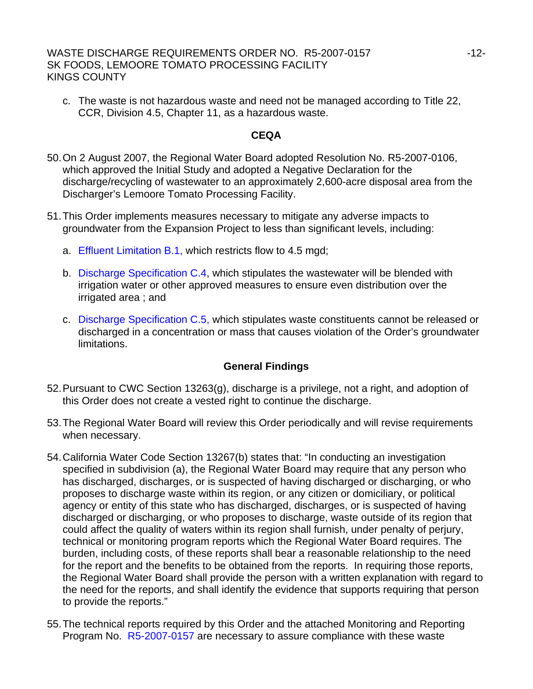c. The waste is not hazardous waste and need not be managed according to Title 22, CCR, Division 4.5, Chapter 11, as a hazardous waste.

#### **CEQA**

- 50. On 2 August 2007, the Regional Water Board adopted Resolution No. R5-2007-0106, which approved the Initial Study and adopted a Negative Declaration for the discharge/recycling of wastewater to an approximately 2,600-acre disposal area from the Discharger's Lemoore Tomato Processing Facility.
- 51. This Order implements measures necessary to mitigate any adverse impacts to groundwater from the Expansion Project to less than significant levels, including:
	- a. Effluent Limitation B.1, which restricts flow to 4.5 mgd;
	- b. Discharge Specification C.4, which stipulates the wastewater will be blended with irrigation water or other approved measures to ensure even distribution over the irrigated area ; and
	- c. Discharge Specification C.5, which stipulates waste constituents cannot be released or discharged in a concentration or mass that causes violation of the Order's groundwater limitations.

### **General Findings**

- 52. Pursuant to CWC Section 13263(g), discharge is a privilege, not a right, and adoption of this Order does not create a vested right to continue the discharge.
- 53. The Regional Water Board will review this Order periodically and will revise requirements when necessary.
- 54. California Water Code Section 13267(b) states that: "In conducting an investigation specified in subdivision (a), the Regional Water Board may require that any person who has discharged, discharges, or is suspected of having discharged or discharging, or who proposes to discharge waste within its region, or any citizen or domiciliary, or political agency or entity of this state who has discharged, discharges, or is suspected of having discharged or discharging, or who proposes to discharge, waste outside of its region that could affect the quality of waters within its region shall furnish, under penalty of perjury, technical or monitoring program reports which the Regional Water Board requires. The burden, including costs, of these reports shall bear a reasonable relationship to the need for the report and the benefits to be obtained from the reports. In requiring those reports, the Regional Water Board shall provide the person with a written explanation with regard to the need for the reports, and shall identify the evidence that supports requiring that person to provide the reports."
- 55. The technical reports required by this Order and the attached Monitoring and Reporting Program No. R5-2007-0157 are necessary to assure compliance with these waste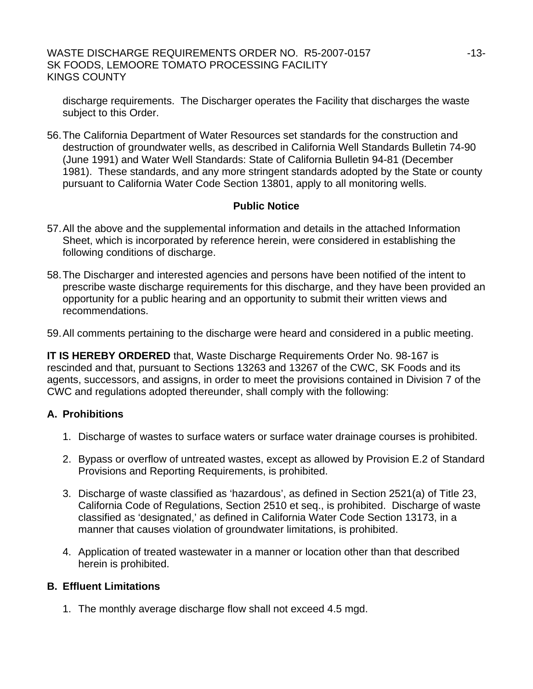discharge requirements. The Discharger operates the Facility that discharges the waste subject to this Order.

56. The California Department of Water Resources set standards for the construction and destruction of groundwater wells, as described in California Well Standards Bulletin 74-90 (June 1991) and Water Well Standards: State of California Bulletin 94-81 (December 1981). These standards, and any more stringent standards adopted by the State or county pursuant to California Water Code Section 13801, apply to all monitoring wells.

## **Public Notice**

- 57. All the above and the supplemental information and details in the attached Information Sheet, which is incorporated by reference herein, were considered in establishing the following conditions of discharge.
- 58. The Discharger and interested agencies and persons have been notified of the intent to prescribe waste discharge requirements for this discharge, and they have been provided an opportunity for a public hearing and an opportunity to submit their written views and recommendations.
- 59. All comments pertaining to the discharge were heard and considered in a public meeting.

**IT IS HEREBY ORDERED** that, Waste Discharge Requirements Order No. 98-167 is rescinded and that, pursuant to Sections 13263 and 13267 of the CWC, SK Foods and its agents, successors, and assigns, in order to meet the provisions contained in Division 7 of the CWC and regulations adopted thereunder, shall comply with the following:

### **A. Prohibitions**

- 1. Discharge of wastes to surface waters or surface water drainage courses is prohibited.
- 2. Bypass or overflow of untreated wastes, except as allowed by Provision E.2 of Standard Provisions and Reporting Requirements, is prohibited.
- 3. Discharge of waste classified as 'hazardous', as defined in Section 2521(a) of Title 23, California Code of Regulations, Section 2510 et seq., is prohibited. Discharge of waste classified as 'designated,' as defined in California Water Code Section 13173, in a manner that causes violation of groundwater limitations, is prohibited.
- 4. Application of treated wastewater in a manner or location other than that described herein is prohibited.

### **B. Effluent Limitations**

1. The monthly average discharge flow shall not exceed 4.5 mgd.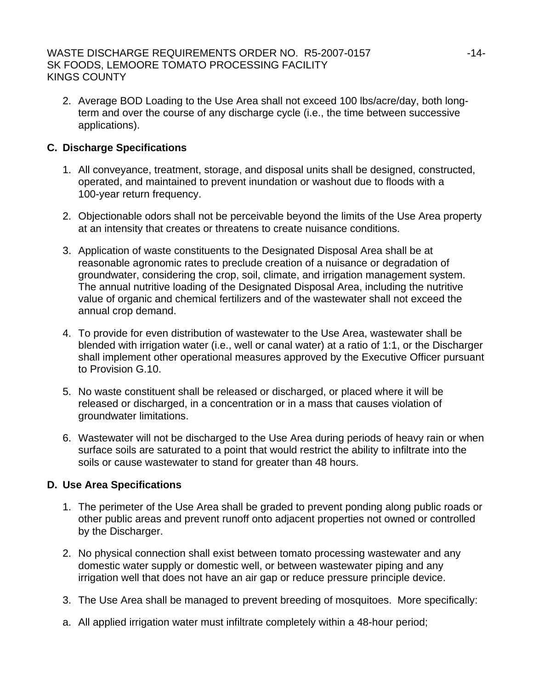2. Average BOD Loading to the Use Area shall not exceed 100 lbs/acre/day, both longterm and over the course of any discharge cycle (i.e., the time between successive applications).

## **C. Discharge Specifications**

- 1. All conveyance, treatment, storage, and disposal units shall be designed, constructed, operated, and maintained to prevent inundation or washout due to floods with a 100-year return frequency.
- 2. Objectionable odors shall not be perceivable beyond the limits of the Use Area property at an intensity that creates or threatens to create nuisance conditions.
- 3. Application of waste constituents to the Designated Disposal Area shall be at reasonable agronomic rates to preclude creation of a nuisance or degradation of groundwater, considering the crop, soil, climate, and irrigation management system. The annual nutritive loading of the Designated Disposal Area, including the nutritive value of organic and chemical fertilizers and of the wastewater shall not exceed the annual crop demand.
- 4. To provide for even distribution of wastewater to the Use Area, wastewater shall be blended with irrigation water (i.e., well or canal water) at a ratio of 1:1, or the Discharger shall implement other operational measures approved by the Executive Officer pursuant to Provision G.10.
- 5. No waste constituent shall be released or discharged, or placed where it will be released or discharged, in a concentration or in a mass that causes violation of groundwater limitations.
- 6. Wastewater will not be discharged to the Use Area during periods of heavy rain or when surface soils are saturated to a point that would restrict the ability to infiltrate into the soils or cause wastewater to stand for greater than 48 hours.

## **D. Use Area Specifications**

- 1. The perimeter of the Use Area shall be graded to prevent ponding along public roads or other public areas and prevent runoff onto adjacent properties not owned or controlled by the Discharger.
- 2. No physical connection shall exist between tomato processing wastewater and any domestic water supply or domestic well, or between wastewater piping and any irrigation well that does not have an air gap or reduce pressure principle device.
- 3. The Use Area shall be managed to prevent breeding of mosquitoes. More specifically:
- a. All applied irrigation water must infiltrate completely within a 48-hour period;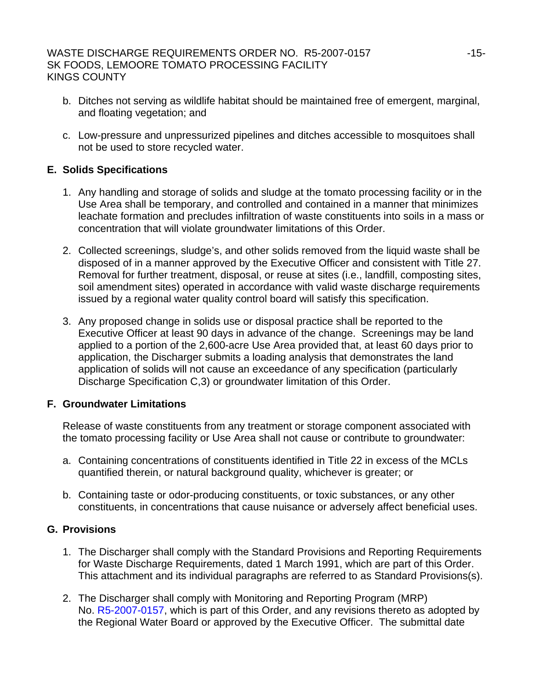- b. Ditches not serving as wildlife habitat should be maintained free of emergent, marginal, and floating vegetation; and
- c. Low-pressure and unpressurized pipelines and ditches accessible to mosquitoes shall not be used to store recycled water.

## **E. Solids Specifications**

- 1. Any handling and storage of solids and sludge at the tomato processing facility or in the Use Area shall be temporary, and controlled and contained in a manner that minimizes leachate formation and precludes infiltration of waste constituents into soils in a mass or concentration that will violate groundwater limitations of this Order.
- 2. Collected screenings, sludge's, and other solids removed from the liquid waste shall be disposed of in a manner approved by the Executive Officer and consistent with Title 27. Removal for further treatment, disposal, or reuse at sites (i.e., landfill, composting sites, soil amendment sites) operated in accordance with valid waste discharge requirements issued by a regional water quality control board will satisfy this specification.
- 3. Any proposed change in solids use or disposal practice shall be reported to the Executive Officer at least 90 days in advance of the change. Screenings may be land applied to a portion of the 2,600-acre Use Area provided that, at least 60 days prior to application, the Discharger submits a loading analysis that demonstrates the land application of solids will not cause an exceedance of any specification (particularly Discharge Specification C,3) or groundwater limitation of this Order.

### **F. Groundwater Limitations**

Release of waste constituents from any treatment or storage component associated with the tomato processing facility or Use Area shall not cause or contribute to groundwater:

- a. Containing concentrations of constituents identified in Title 22 in excess of the MCLs quantified therein, or natural background quality, whichever is greater; or
- b. Containing taste or odor-producing constituents, or toxic substances, or any other constituents, in concentrations that cause nuisance or adversely affect beneficial uses.

## **G. Provisions**

- 1. The Discharger shall comply with the Standard Provisions and Reporting Requirements for Waste Discharge Requirements, dated 1 March 1991, which are part of this Order. This attachment and its individual paragraphs are referred to as Standard Provisions(s).
- 2. The Discharger shall comply with Monitoring and Reporting Program (MRP) No. R5-2007-0157, which is part of this Order, and any revisions thereto as adopted by the Regional Water Board or approved by the Executive Officer. The submittal date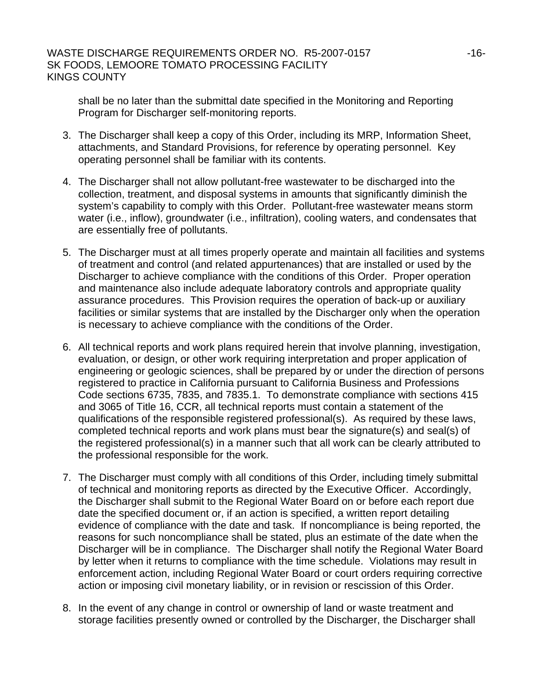shall be no later than the submittal date specified in the Monitoring and Reporting Program for Discharger self-monitoring reports.

- 3. The Discharger shall keep a copy of this Order, including its MRP, Information Sheet, attachments, and Standard Provisions, for reference by operating personnel. Key operating personnel shall be familiar with its contents.
- 4. The Discharger shall not allow pollutant-free wastewater to be discharged into the collection, treatment, and disposal systems in amounts that significantly diminish the system's capability to comply with this Order. Pollutant-free wastewater means storm water (i.e., inflow), groundwater (i.e., infiltration), cooling waters, and condensates that are essentially free of pollutants.
- 5. The Discharger must at all times properly operate and maintain all facilities and systems of treatment and control (and related appurtenances) that are installed or used by the Discharger to achieve compliance with the conditions of this Order. Proper operation and maintenance also include adequate laboratory controls and appropriate quality assurance procedures. This Provision requires the operation of back-up or auxiliary facilities or similar systems that are installed by the Discharger only when the operation is necessary to achieve compliance with the conditions of the Order.
- 6. All technical reports and work plans required herein that involve planning, investigation, evaluation, or design, or other work requiring interpretation and proper application of engineering or geologic sciences, shall be prepared by or under the direction of persons registered to practice in California pursuant to California Business and Professions Code sections 6735, 7835, and 7835.1. To demonstrate compliance with sections 415 and 3065 of Title 16, CCR, all technical reports must contain a statement of the qualifications of the responsible registered professional(s). As required by these laws, completed technical reports and work plans must bear the signature(s) and seal(s) of the registered professional(s) in a manner such that all work can be clearly attributed to the professional responsible for the work.
- 7. The Discharger must comply with all conditions of this Order, including timely submittal of technical and monitoring reports as directed by the Executive Officer. Accordingly, the Discharger shall submit to the Regional Water Board on or before each report due date the specified document or, if an action is specified, a written report detailing evidence of compliance with the date and task. If noncompliance is being reported, the reasons for such noncompliance shall be stated, plus an estimate of the date when the Discharger will be in compliance. The Discharger shall notify the Regional Water Board by letter when it returns to compliance with the time schedule. Violations may result in enforcement action, including Regional Water Board or court orders requiring corrective action or imposing civil monetary liability, or in revision or rescission of this Order.
- 8. In the event of any change in control or ownership of land or waste treatment and storage facilities presently owned or controlled by the Discharger, the Discharger shall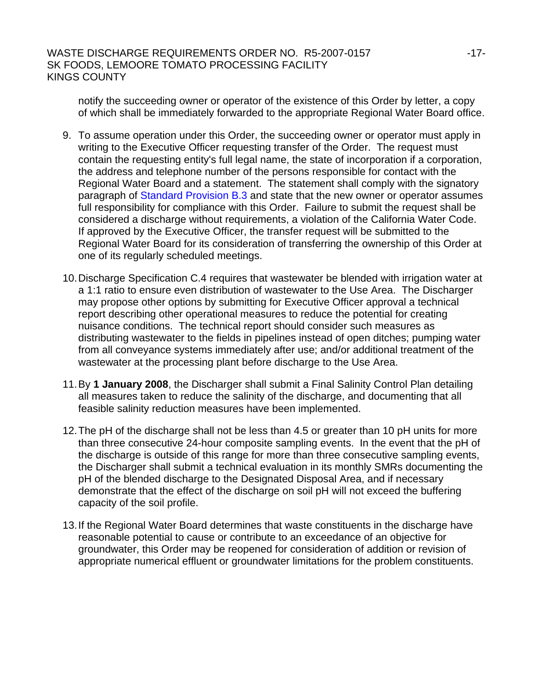notify the succeeding owner or operator of the existence of this Order by letter, a copy of which shall be immediately forwarded to the appropriate Regional Water Board office.

- 9. To assume operation under this Order, the succeeding owner or operator must apply in writing to the Executive Officer requesting transfer of the Order. The request must contain the requesting entity's full legal name, the state of incorporation if a corporation, the address and telephone number of the persons responsible for contact with the Regional Water Board and a statement. The statement shall comply with the signatory paragraph of Standard Provision B.3 and state that the new owner or operator assumes full responsibility for compliance with this Order. Failure to submit the request shall be considered a discharge without requirements, a violation of the California Water Code. If approved by the Executive Officer, the transfer request will be submitted to the Regional Water Board for its consideration of transferring the ownership of this Order at one of its regularly scheduled meetings.
- 10. Discharge Specification C.4 requires that wastewater be blended with irrigation water at a 1:1 ratio to ensure even distribution of wastewater to the Use Area. The Discharger may propose other options by submitting for Executive Officer approval a technical report describing other operational measures to reduce the potential for creating nuisance conditions. The technical report should consider such measures as distributing wastewater to the fields in pipelines instead of open ditches; pumping water from all conveyance systems immediately after use; and/or additional treatment of the wastewater at the processing plant before discharge to the Use Area.
- 11. By **1 January 2008**, the Discharger shall submit a Final Salinity Control Plan detailing all measures taken to reduce the salinity of the discharge, and documenting that all feasible salinity reduction measures have been implemented.
- 12. The pH of the discharge shall not be less than 4.5 or greater than 10 pH units for more than three consecutive 24-hour composite sampling events. In the event that the pH of the discharge is outside of this range for more than three consecutive sampling events, the Discharger shall submit a technical evaluation in its monthly SMRs documenting the pH of the blended discharge to the Designated Disposal Area, and if necessary demonstrate that the effect of the discharge on soil pH will not exceed the buffering capacity of the soil profile.
- 13. If the Regional Water Board determines that waste constituents in the discharge have reasonable potential to cause or contribute to an exceedance of an objective for groundwater, this Order may be reopened for consideration of addition or revision of appropriate numerical effluent or groundwater limitations for the problem constituents.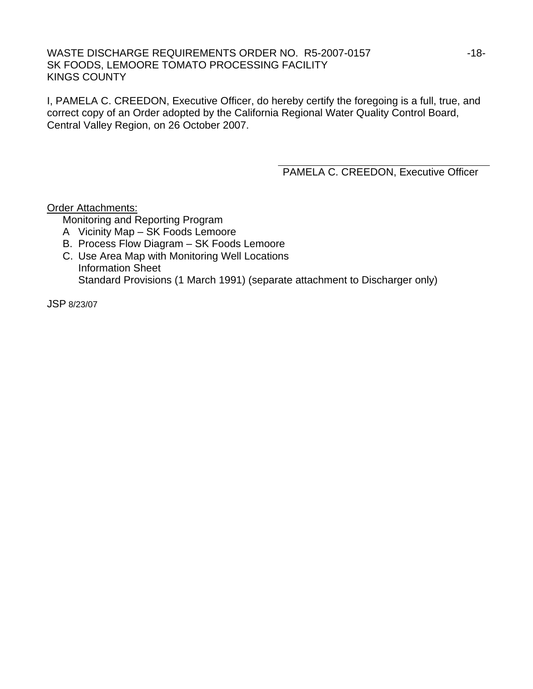WASTE DISCHARGE REQUIREMENTS ORDER NO. R5-2007-0157 ----------------------------SK FOODS, LEMOORE TOMATO PROCESSING FACILITY KINGS COUNTY

I, PAMELA C. CREEDON, Executive Officer, do hereby certify the foregoing is a full, true, and correct copy of an Order adopted by the California Regional Water Quality Control Board, Central Valley Region, on 26 October 2007.

PAMELA C. CREEDON, Executive Officer

Order Attachments:

Monitoring and Reporting Program

- A Vicinity Map SK Foods Lemoore
- B. Process Flow Diagram SK Foods Lemoore
- C. Use Area Map with Monitoring Well Locations Information Sheet Standard Provisions (1 March 1991) (separate attachment to Discharger only)

JSP 8/23/07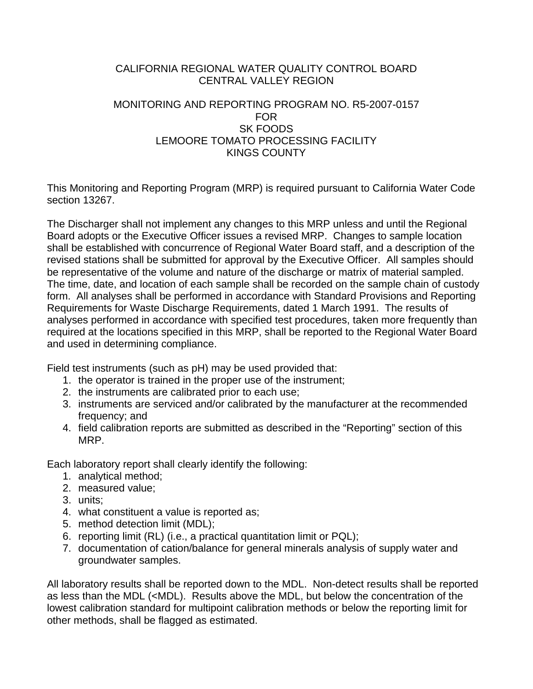### CALIFORNIA REGIONAL WATER QUALITY CONTROL BOARD CENTRAL VALLEY REGION

## MONITORING AND REPORTING PROGRAM NO. R5-2007-0157 FOR SK FOODS LEMOORE TOMATO PROCESSING FACILITY KINGS COUNTY

This Monitoring and Reporting Program (MRP) is required pursuant to California Water Code section 13267.

The Discharger shall not implement any changes to this MRP unless and until the Regional Board adopts or the Executive Officer issues a revised MRP. Changes to sample location shall be established with concurrence of Regional Water Board staff, and a description of the revised stations shall be submitted for approval by the Executive Officer. All samples should be representative of the volume and nature of the discharge or matrix of material sampled. The time, date, and location of each sample shall be recorded on the sample chain of custody form. All analyses shall be performed in accordance with Standard Provisions and Reporting Requirements for Waste Discharge Requirements, dated 1 March 1991. The results of analyses performed in accordance with specified test procedures, taken more frequently than required at the locations specified in this MRP, shall be reported to the Regional Water Board and used in determining compliance.

Field test instruments (such as pH) may be used provided that:

- 1. the operator is trained in the proper use of the instrument;
- 2. the instruments are calibrated prior to each use;
- 3. instruments are serviced and/or calibrated by the manufacturer at the recommended frequency; and
- 4. field calibration reports are submitted as described in the "Reporting" section of this MRP.

Each laboratory report shall clearly identify the following:

- 1. analytical method;
- 2. measured value;
- 3. units;
- 4. what constituent a value is reported as;
- 5. method detection limit (MDL);
- 6. reporting limit (RL) (i.e., a practical quantitation limit or PQL);
- 7. documentation of cation/balance for general minerals analysis of supply water and groundwater samples.

All laboratory results shall be reported down to the MDL. Non-detect results shall be reported as less than the MDL (<MDL). Results above the MDL, but below the concentration of the lowest calibration standard for multipoint calibration methods or below the reporting limit for other methods, shall be flagged as estimated.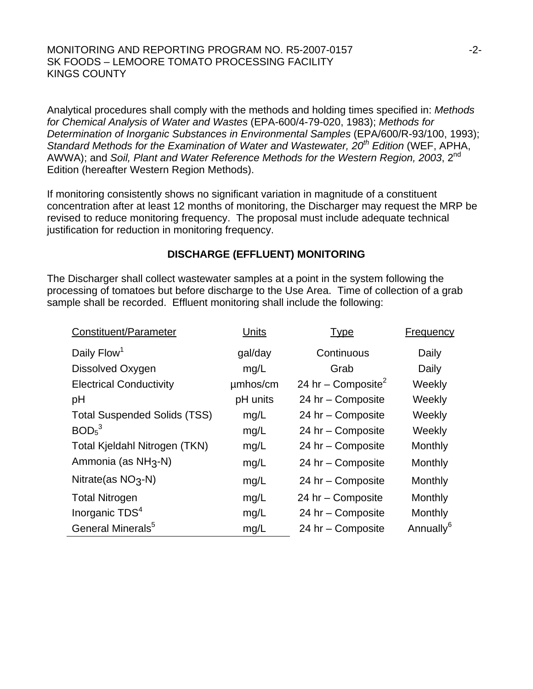#### MONITORING AND REPORTING PROGRAM NO. R5-2007-0157  $-2$ -2-SK FOODS – LEMOORE TOMATO PROCESSING FACILITY KINGS COUNTY

Analytical procedures shall comply with the methods and holding times specified in: *Methods for Chemical Analysis of Water and Wastes* (EPA-600/4-79-020, 1983); *Methods for Determination of Inorganic Substances in Environmental Samples* (EPA/600/R-93/100, 1993); Standard Methods for the Examination of Water and Wastewater, 20<sup>th</sup> Edition (WEF, APHA, AWWA); and *Soil, Plant and Water Reference Methods for the Western Region, 2003*, 2nd Edition (hereafter Western Region Methods).

If monitoring consistently shows no significant variation in magnitude of a constituent concentration after at least 12 months of monitoring, the Discharger may request the MRP be revised to reduce monitoring frequency. The proposal must include adequate technical justification for reduction in monitoring frequency.

## **DISCHARGE (EFFLUENT) MONITORING**

The Discharger shall collect wastewater samples at a point in the system following the processing of tomatoes but before discharge to the Use Area. Time of collection of a grab sample shall be recorded. Effluent monitoring shall include the following:

| Constituent/Parameter               | Units    | <b>Type</b>                    | Frequency             |
|-------------------------------------|----------|--------------------------------|-----------------------|
| Daily Flow <sup>1</sup>             | gal/day  | Continuous                     | Daily                 |
| Dissolved Oxygen                    | mg/L     | Grab                           | Daily                 |
| <b>Electrical Conductivity</b>      | umhos/cm | 24 hr – Composite <sup>2</sup> | Weekly                |
| pH                                  | pH units | 24 hr - Composite              | Weekly                |
| <b>Total Suspended Solids (TSS)</b> | mg/L     | 24 hr - Composite              | Weekly                |
| BOD <sub>5</sub> <sup>3</sup>       | mg/L     | 24 hr - Composite              | Weekly                |
| Total Kjeldahl Nitrogen (TKN)       | mg/L     | 24 hr - Composite              | Monthly               |
| Ammonia (as NH <sub>3</sub> -N)     | mg/L     | 24 hr - Composite              | Monthly               |
| Nitrate(as $NO3$ -N)                | mg/L     | 24 hr - Composite              | Monthly               |
| <b>Total Nitrogen</b>               | mg/L     | 24 hr - Composite              | Monthly               |
| Inorganic TDS <sup>4</sup>          | mg/L     | 24 hr - Composite              | Monthly               |
| General Minerals <sup>5</sup>       | mg/L     | 24 hr - Composite              | Annually <sup>6</sup> |
|                                     |          |                                |                       |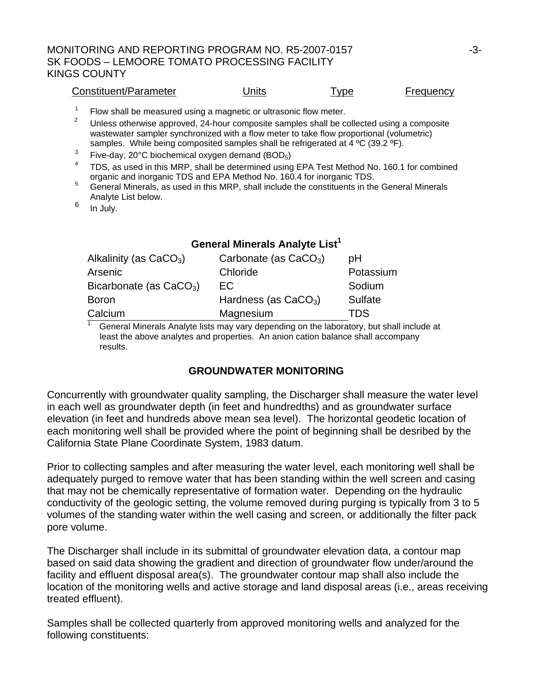### MONITORING AND REPORTING PROGRAM NO. R5-2007-0157 -3- SK FOODS – LEMOORE TOMATO PROCESSING FACILITY KINGS COUNTY

| Constituent/Parameter | <b>Jnits</b> | l vpe | <b>Frequency</b> |
|-----------------------|--------------|-------|------------------|
|                       |              |       |                  |

1 Flow shall be measured using a magnetic or ultrasonic flow meter.

2 Unless otherwise approved, 24-hour composite samples shall be collected using a composite wastewater sampler synchronized with a flow meter to take flow proportional (volumetric) samples. While being composited samples shall be refrigerated at 4 °C (39.2 °F).

- 3 Five-day, 20°C biochemical oxygen demand (BOD5)
- 4 TDS, as used in this MRP, shall be determined using EPA Test Method No. 160.1 for combined organic and inorganic TDS and EPA Method No. 160.4 for inorganic TDS.
- General Minerals, as used in this MRP, shall include the constituents in the General Minerals Analyte List below.
- $6 \quad$  In July.

### **General Minerals Analyte List<sup>1</sup>**

| Alkalinity (as $CaCO3$ )  | Carbonate (as $CaCO3$ ) | рH             |
|---------------------------|-------------------------|----------------|
| Arsenic                   | Chloride                | Potassium      |
| Bicarbonate (as $CaCO3$ ) | EC.                     | Sodium         |
| <b>Boron</b>              | Hardness (as $CaCO3$ )  | <b>Sulfate</b> |
| Calcium                   | Magnesium               | TDS            |

<sup>1.</sup> General Minerals Analyte lists may vary depending on the laboratory, but shall include at least the above analytes and properties. An anion cation balance shall accompany results.

### **GROUNDWATER MONITORING**

Concurrently with groundwater quality sampling, the Discharger shall measure the water level in each well as groundwater depth (in feet and hundredths) and as groundwater surface elevation (in feet and hundreds above mean sea level). The horizontal geodetic location of each monitoring well shall be provided where the point of beginning shall be desribed by the California State Plane Coordinate System, 1983 datum.

Prior to collecting samples and after measuring the water level, each monitoring well shall be adequately purged to remove water that has been standing within the well screen and casing that may not be chemically representative of formation water. Depending on the hydraulic conductivity of the geologic setting, the volume removed during purging is typically from 3 to 5 volumes of the standing water within the well casing and screen, or additionally the filter pack pore volume.

The Discharger shall include in its submittal of groundwater elevation data, a contour map based on said data showing the gradient and direction of groundwater flow under/around the facility and effluent disposal area(s). The groundwater contour map shall also include the location of the monitoring wells and active storage and land disposal areas (i.e., areas receiving treated effluent).

Samples shall be collected quarterly from approved monitoring wells and analyzed for the following constituents: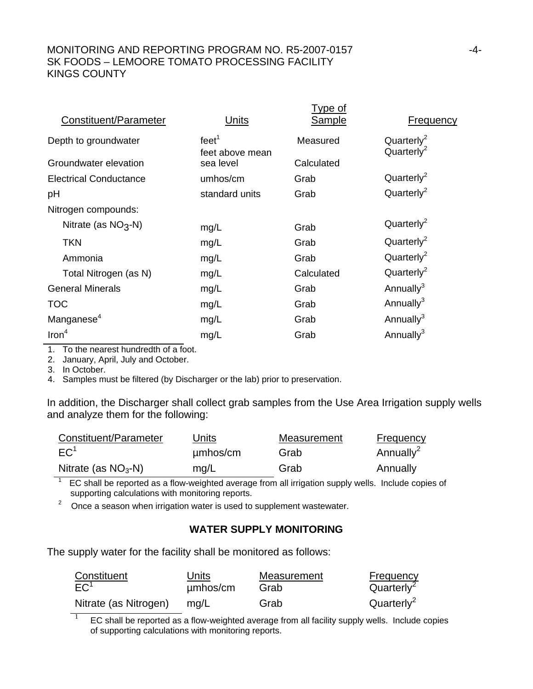### MONITORING AND REPORTING PROGRAM NO. R5-2007-0157 F4-4-SK FOODS – LEMOORE TOMATO PROCESSING FACILITY KINGS COUNTY

|                               |                                      | <u>Type of</u> |                                                  |
|-------------------------------|--------------------------------------|----------------|--------------------------------------------------|
| Constituent/Parameter         | Units                                | <b>Sample</b>  | <b>Frequency</b>                                 |
| Depth to groundwater          | feet <sup>1</sup><br>feet above mean | Measured       | Quarterly <sup>2</sup><br>Quarterly <sup>2</sup> |
| Groundwater elevation         | sea level                            | Calculated     |                                                  |
| <b>Electrical Conductance</b> | umhos/cm                             | Grab           | Quarterly <sup>2</sup>                           |
| pH                            | standard units                       | Grab           | Quarterly <sup>2</sup>                           |
| Nitrogen compounds:           |                                      |                |                                                  |
| Nitrate (as $NO3$ -N)         | mg/L                                 | Grab           | Quarterly <sup>2</sup>                           |
| <b>TKN</b>                    | mg/L                                 | Grab           | Quarterly <sup>2</sup>                           |
| Ammonia                       | mg/L                                 | Grab           | Quarterly <sup>2</sup>                           |
| Total Nitrogen (as N)         | mg/L                                 | Calculated     | Quarterly <sup>2</sup>                           |
| <b>General Minerals</b>       | mg/L                                 | Grab           | Annually <sup>3</sup>                            |
| <b>TOC</b>                    | mg/L                                 | Grab           | Annually <sup>3</sup>                            |
| Manganese <sup>4</sup>        | mg/L                                 | Grab           | Annually <sup>3</sup>                            |
| Iron <sup>4</sup>             | mg/L                                 | Grab           | Annually <sup>3</sup>                            |
|                               |                                      |                |                                                  |

1. To the nearest hundredth of a foot.

2. January, April, July and October.

3. In October.

4. Samples must be filtered (by Discharger or the lab) prior to preservation.

In addition, the Discharger shall collect grab samples from the Use Area Irrigation supply wells and analyze them for the following:

| Constituent/Parameter | Units    | Measurement | Frequency             |
|-----------------------|----------|-------------|-----------------------|
| EC <sup>1</sup>       | umhos/cm | Grab        | Annually <sup>2</sup> |
| Nitrate (as $NO3$ -N) | mq/L     | Grab        | Annually              |

 $1$  EC shall be reported as a flow-weighted average from all irrigation supply wells. Include copies of supporting calculations with monitoring reports.

<sup>2</sup> Once a season when irrigation water is used to supplement wastewater.

### **WATER SUPPLY MONITORING**

The supply water for the facility shall be monitored as follows:

| Constituent           | Units    | Measurement | <b>Frequency</b>       |
|-----------------------|----------|-------------|------------------------|
| EC <sup>1</sup>       | µmbos/cm | Grab        | Quarterly <sup>2</sup> |
| Nitrate (as Nitrogen) | ma/L     | Grab        | Quarterly <sup>2</sup> |

EC shall be reported as a flow-weighted average from all facility supply wells. Include copies of supporting calculations with monitoring reports.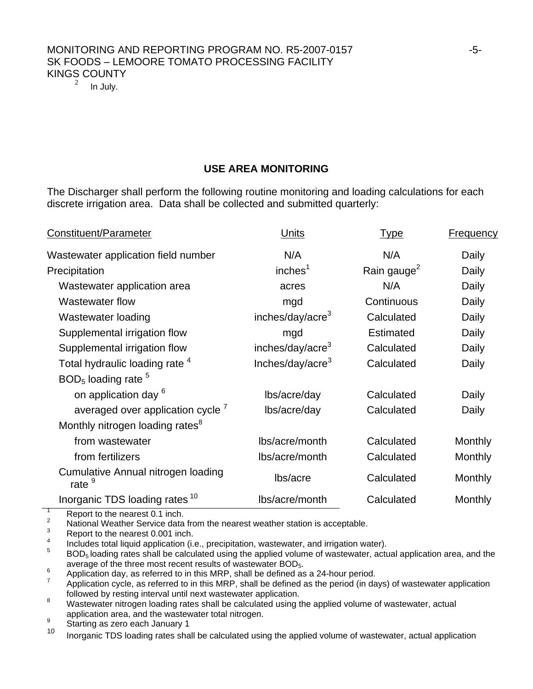# MONITORING AND REPORTING PROGRAM NO. R5-2007-0157 SK FOODS – LEMOORE TOMATO PROCESSING FACILITY KINGS COUNTY

In July.

#### **USE AREA MONITORING**

The Discharger shall perform the following routine monitoring and loading calculations for each discrete irrigation area. Data shall be collected and submitted quarterly:

| Constituent/Parameter                                   | Units                        | <b>Type</b>             | <b>Frequency</b> |
|---------------------------------------------------------|------------------------------|-------------------------|------------------|
| Wastewater application field number                     | N/A                          | N/A                     | Daily            |
| Precipitation                                           | inches <sup>1</sup>          | Rain gauge <sup>2</sup> | Daily            |
| Wastewater application area                             | acres                        | N/A                     | Daily            |
| <b>Wastewater flow</b>                                  | mgd                          | Continuous              | Daily            |
| Wastewater loading                                      | inches/day/acre <sup>3</sup> | Calculated              | Daily            |
| Supplemental irrigation flow                            | mgd                          | <b>Estimated</b>        | Daily            |
| Supplemental irrigation flow                            | inches/day/acre <sup>3</sup> | Calculated              | Daily            |
| Total hydraulic loading rate 4                          | Inches/day/acre <sup>3</sup> | Calculated              | Daily            |
| $BOD5$ loading rate $5$                                 |                              |                         |                  |
| on application day <sup>6</sup>                         | lbs/acre/day                 | Calculated              | Daily            |
| averaged over application cycle <sup>7</sup>            | lbs/acre/day                 | Calculated              | Daily            |
| Monthly nitrogen loading rates <sup>8</sup>             |                              |                         |                  |
| from wastewater                                         | lbs/acre/month               | Calculated              | Monthly          |
| from fertilizers                                        | lbs/acre/month               | Calculated              | Monthly          |
| Cumulative Annual nitrogen loading<br>rate <sup>9</sup> | lbs/acre                     | Calculated              | Monthly          |
| Inorganic TDS loading rates <sup>10</sup>               | Ibs/acre/month               | Calculated              | Monthly          |
| $D$ ongrt to the negrect $0.4$ ingh                     |                              |                         |                  |

Report to the nearest 0.1 inch.

2  $\frac{2}{3}$  National Weather Service data from the nearest weather station is acceptable.

 Report to the nearest 0.001 inch. 4

 $\frac{4}{5}$  Includes total liquid application (i.e., precipitation, wastewater, and irrigation water).

BOD<sub>5</sub> loading rates shall be calculated using the applied volume of wastewater, actual application area, and the average of the three most recent results of wastewater  $BOD_5$ .

 $\frac{6}{7}$  Application day, as referred to in this MRP, shall be defined as a 24-hour period.

 Application cycle, as referred to in this MRP, shall be defined as the period (in days) of wastewater application followed by resting interval until next wastewater application.

 Wastewater nitrogen loading rates shall be calculated using the applied volume of wastewater, actual application area, and the wastewater total nitrogen.

 $\frac{9}{10}$  Starting as zero each January 1

<sup>10</sup> Inorganic TDS loading rates shall be calculated using the applied volume of wastewater, actual application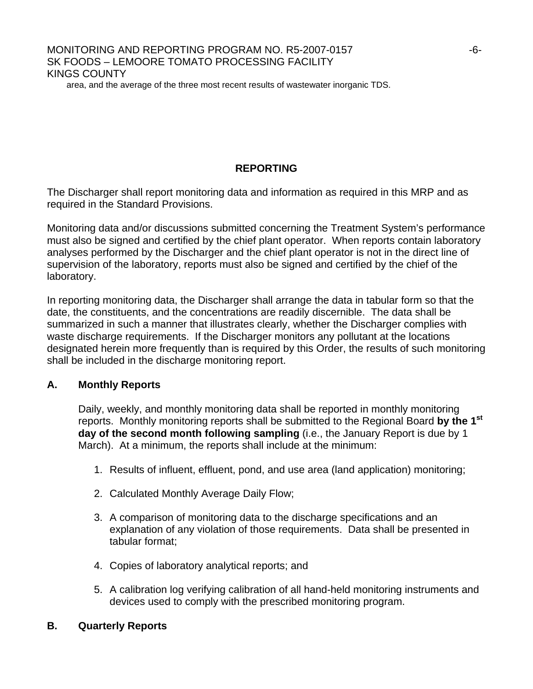## MONITORING AND REPORTING PROGRAM NO. R5-2007-0157  $-6$ -SK FOODS – LEMOORE TOMATO PROCESSING FACILITY KINGS COUNTY

area, and the average of the three most recent results of wastewater inorganic TDS.

## **REPORTING**

The Discharger shall report monitoring data and information as required in this MRP and as required in the Standard Provisions.

Monitoring data and/or discussions submitted concerning the Treatment System's performance must also be signed and certified by the chief plant operator. When reports contain laboratory analyses performed by the Discharger and the chief plant operator is not in the direct line of supervision of the laboratory, reports must also be signed and certified by the chief of the laboratory.

In reporting monitoring data, the Discharger shall arrange the data in tabular form so that the date, the constituents, and the concentrations are readily discernible. The data shall be summarized in such a manner that illustrates clearly, whether the Discharger complies with waste discharge requirements. If the Discharger monitors any pollutant at the locations designated herein more frequently than is required by this Order, the results of such monitoring shall be included in the discharge monitoring report.

### **A. Monthly Reports**

Daily, weekly, and monthly monitoring data shall be reported in monthly monitoring reports. Monthly monitoring reports shall be submitted to the Regional Board **by the 1st day of the second month following sampling** (i.e., the January Report is due by 1 March). At a minimum, the reports shall include at the minimum:

- 1. Results of influent, effluent, pond, and use area (land application) monitoring;
- 2. Calculated Monthly Average Daily Flow;
- 3. A comparison of monitoring data to the discharge specifications and an explanation of any violation of those requirements. Data shall be presented in tabular format;
- 4. Copies of laboratory analytical reports; and
- 5. A calibration log verifying calibration of all hand-held monitoring instruments and devices used to comply with the prescribed monitoring program.
- **B. Quarterly Reports**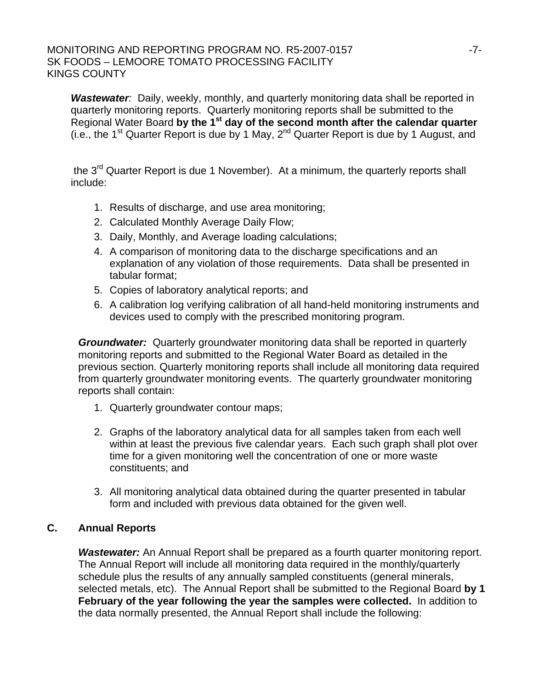#### MONITORING AND REPORTING PROGRAM NO. R5-2007-0157 SK FOODS – LEMOORE TOMATO PROCESSING FACILITY KINGS COUNTY

**Wastewater**: Daily, weekly, monthly, and quarterly monitoring data shall be reported in quarterly monitoring reports. Quarterly monitoring reports shall be submitted to the Regional Water Board **by the 1st day of the second month after the calendar quarter**  $(i.e., the 1<sup>st</sup> Quarter Report is due by 1 May,  $2<sup>nd</sup>$  Quarter Report is due by 1 August, and$ 

the 3<sup>rd</sup> Quarter Report is due 1 November). At a minimum, the quarterly reports shall include:

- 1. Results of discharge, and use area monitoring;
- 2. Calculated Monthly Average Daily Flow;
- 3. Daily, Monthly, and Average loading calculations;
- 4. A comparison of monitoring data to the discharge specifications and an explanation of any violation of those requirements. Data shall be presented in tabular format;
- 5. Copies of laboratory analytical reports; and
- 6. A calibration log verifying calibration of all hand-held monitoring instruments and devices used to comply with the prescribed monitoring program.

*Groundwater:* Quarterly groundwater monitoring data shall be reported in quarterly monitoring reports and submitted to the Regional Water Board as detailed in the previous section. Quarterly monitoring reports shall include all monitoring data required from quarterly groundwater monitoring events. The quarterly groundwater monitoring reports shall contain:

- 1. Quarterly groundwater contour maps;
- 2. Graphs of the laboratory analytical data for all samples taken from each well within at least the previous five calendar years. Each such graph shall plot over time for a given monitoring well the concentration of one or more waste constituents; and
- 3. All monitoring analytical data obtained during the quarter presented in tabular form and included with previous data obtained for the given well.

## **C. Annual Reports**

**Wastewater:** An Annual Report shall be prepared as a fourth quarter monitoring report. The Annual Report will include all monitoring data required in the monthly/quarterly schedule plus the results of any annually sampled constituents (general minerals, selected metals, etc). The Annual Report shall be submitted to the Regional Board **by 1 February of the year following the year the samples were collected.** In addition to the data normally presented, the Annual Report shall include the following: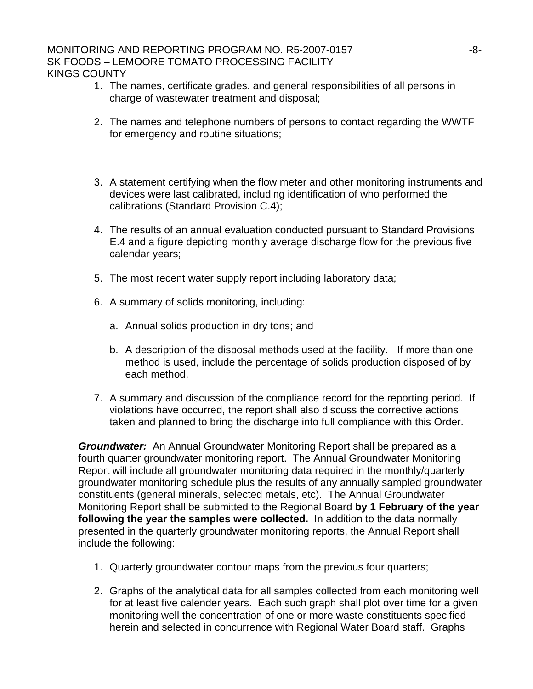#### MONITORING AND REPORTING PROGRAM NO. R5-2007-0157  $-8$ -SK FOODS – LEMOORE TOMATO PROCESSING FACILITY KINGS COUNTY

- 1. The names, certificate grades, and general responsibilities of all persons in charge of wastewater treatment and disposal;
- 2. The names and telephone numbers of persons to contact regarding the WWTF for emergency and routine situations;
- 3. A statement certifying when the flow meter and other monitoring instruments and devices were last calibrated, including identification of who performed the calibrations (Standard Provision C.4);
- 4. The results of an annual evaluation conducted pursuant to Standard Provisions E.4 and a figure depicting monthly average discharge flow for the previous five calendar years;
- 5. The most recent water supply report including laboratory data;
- 6. A summary of solids monitoring, including:
	- a. Annual solids production in dry tons; and
	- b. A description of the disposal methods used at the facility. If more than one method is used, include the percentage of solids production disposed of by each method.
- 7. A summary and discussion of the compliance record for the reporting period. If violations have occurred, the report shall also discuss the corrective actions taken and planned to bring the discharge into full compliance with this Order.

*Groundwater:* An Annual Groundwater Monitoring Report shall be prepared as a fourth quarter groundwater monitoring report. The Annual Groundwater Monitoring Report will include all groundwater monitoring data required in the monthly/quarterly groundwater monitoring schedule plus the results of any annually sampled groundwater constituents (general minerals, selected metals, etc). The Annual Groundwater Monitoring Report shall be submitted to the Regional Board **by 1 February of the year following the year the samples were collected.** In addition to the data normally presented in the quarterly groundwater monitoring reports, the Annual Report shall include the following:

- 1. Quarterly groundwater contour maps from the previous four quarters;
- 2. Graphs of the analytical data for all samples collected from each monitoring well for at least five calender years. Each such graph shall plot over time for a given monitoring well the concentration of one or more waste constituents specified herein and selected in concurrence with Regional Water Board staff. Graphs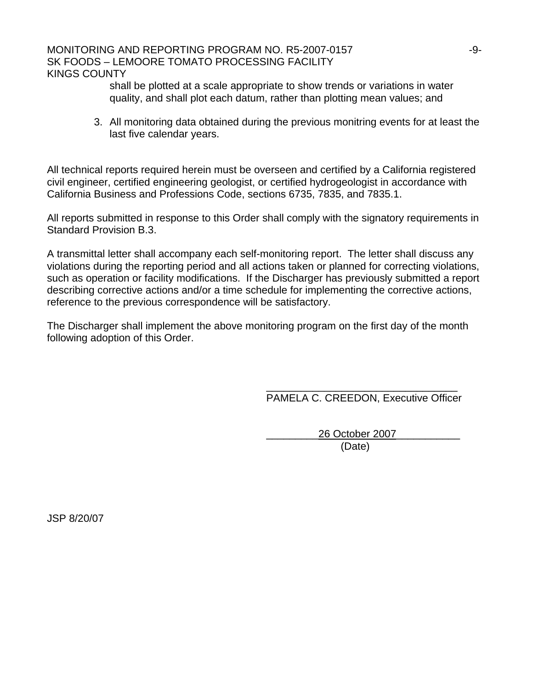#### MONITORING AND REPORTING PROGRAM NO. R5-2007-0157 SK FOODS – LEMOORE TOMATO PROCESSING FACILITY KINGS COUNTY

shall be plotted at a scale appropriate to show trends or variations in water quality, and shall plot each datum, rather than plotting mean values; and

3. All monitoring data obtained during the previous monitring events for at least the last five calendar years.

All technical reports required herein must be overseen and certified by a California registered civil engineer, certified engineering geologist, or certified hydrogeologist in accordance with California Business and Professions Code, sections 6735, 7835, and 7835.1.

All reports submitted in response to this Order shall comply with the signatory requirements in Standard Provision B.3.

A transmittal letter shall accompany each self-monitoring report. The letter shall discuss any violations during the reporting period and all actions taken or planned for correcting violations, such as operation or facility modifications. If the Discharger has previously submitted a report describing corrective actions and/or a time schedule for implementing the corrective actions, reference to the previous correspondence will be satisfactory.

The Discharger shall implement the above monitoring program on the first day of the month following adoption of this Order.

 $\overline{\phantom{a}}$  , which is a set of the contract of the contract of the contract of the contract of the contract of the contract of the contract of the contract of the contract of the contract of the contract of the contract PAMELA C. CREEDON, Executive Officer

 \_\_\_\_\_\_\_\_\_26 October 2007\_\_\_\_\_\_\_\_\_\_\_ (Date)

JSP 8/20/07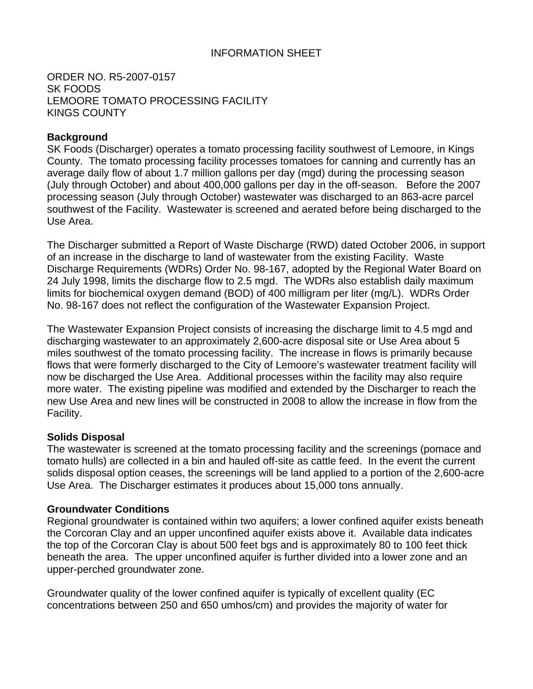### INFORMATION SHEET

ORDER NO. R5-2007-0157 SK FOODS LEMOORE TOMATO PROCESSING FACILITY KINGS COUNTY

### **Background**

SK Foods (Discharger) operates a tomato processing facility southwest of Lemoore, in Kings County. The tomato processing facility processes tomatoes for canning and currently has an average daily flow of about 1.7 million gallons per day (mgd) during the processing season (July through October) and about 400,000 gallons per day in the off-season. Before the 2007 processing season (July through October) wastewater was discharged to an 863-acre parcel southwest of the Facility. Wastewater is screened and aerated before being discharged to the Use Area.

The Discharger submitted a Report of Waste Discharge (RWD) dated October 2006, in support of an increase in the discharge to land of wastewater from the existing Facility. Waste Discharge Requirements (WDRs) Order No. 98-167, adopted by the Regional Water Board on 24 July 1998, limits the discharge flow to 2.5 mgd. The WDRs also establish daily maximum limits for biochemical oxygen demand (BOD) of 400 milligram per liter (mg/L). WDRs Order No. 98-167 does not reflect the configuration of the Wastewater Expansion Project.

The Wastewater Expansion Project consists of increasing the discharge limit to 4.5 mgd and discharging wastewater to an approximately 2,600-acre disposal site or Use Area about 5 miles southwest of the tomato processing facility. The increase in flows is primarily because flows that were formerly discharged to the City of Lemoore's wastewater treatment facility will now be discharged the Use Area. Additional processes within the facility may also require more water. The existing pipeline was modified and extended by the Discharger to reach the new Use Area and new lines will be constructed in 2008 to allow the increase in flow from the Facility.

### **Solids Disposal**

The wastewater is screened at the tomato processing facility and the screenings (pomace and tomato hulls) are collected in a bin and hauled off-site as cattle feed. In the event the current solids disposal option ceases, the screenings will be land applied to a portion of the 2,600-acre Use Area. The Discharger estimates it produces about 15,000 tons annually.

#### **Groundwater Conditions**

Regional groundwater is contained within two aquifers; a lower confined aquifer exists beneath the Corcoran Clay and an upper unconfined aquifer exists above it. Available data indicates the top of the Corcoran Clay is about 500 feet bgs and is approximately 80 to 100 feet thick beneath the area. The upper unconfined aquifer is further divided into a lower zone and an upper-perched groundwater zone.

Groundwater quality of the lower confined aquifer is typically of excellent quality (EC concentrations between 250 and 650 umhos/cm) and provides the majority of water for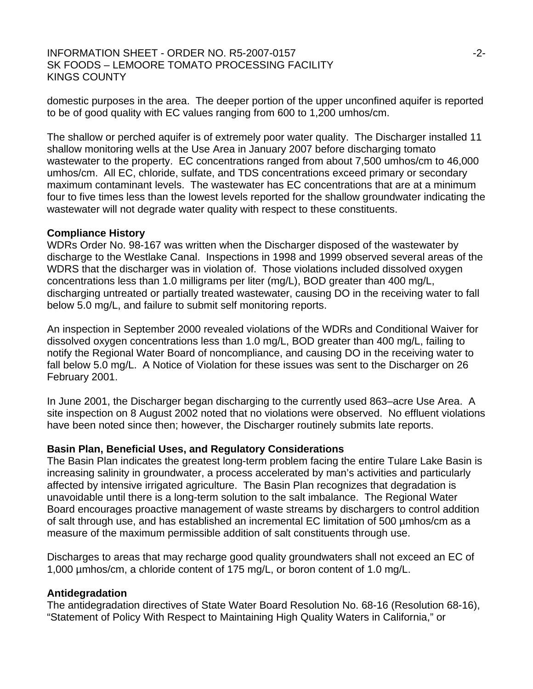#### INFORMATION SHEET - ORDER NO. R5-2007-0157 **1998 -2-12-2007** -2-SK FOODS – LEMOORE TOMATO PROCESSING FACILITY KINGS COUNTY

domestic purposes in the area. The deeper portion of the upper unconfined aquifer is reported to be of good quality with EC values ranging from 600 to 1,200 umhos/cm.

The shallow or perched aquifer is of extremely poor water quality. The Discharger installed 11 shallow monitoring wells at the Use Area in January 2007 before discharging tomato wastewater to the property. EC concentrations ranged from about 7,500 umhos/cm to 46,000 umhos/cm. All EC, chloride, sulfate, and TDS concentrations exceed primary or secondary maximum contaminant levels. The wastewater has EC concentrations that are at a minimum four to five times less than the lowest levels reported for the shallow groundwater indicating the wastewater will not degrade water quality with respect to these constituents.

#### **Compliance History**

WDRs Order No. 98-167 was written when the Discharger disposed of the wastewater by discharge to the Westlake Canal. Inspections in 1998 and 1999 observed several areas of the WDRS that the discharger was in violation of. Those violations included dissolved oxygen concentrations less than 1.0 milligrams per liter (mg/L), BOD greater than 400 mg/L, discharging untreated or partially treated wastewater, causing DO in the receiving water to fall below 5.0 mg/L, and failure to submit self monitoring reports.

An inspection in September 2000 revealed violations of the WDRs and Conditional Waiver for dissolved oxygen concentrations less than 1.0 mg/L, BOD greater than 400 mg/L, failing to notify the Regional Water Board of noncompliance, and causing DO in the receiving water to fall below 5.0 mg/L. A Notice of Violation for these issues was sent to the Discharger on 26 February 2001.

In June 2001, the Discharger began discharging to the currently used 863–acre Use Area. A site inspection on 8 August 2002 noted that no violations were observed. No effluent violations have been noted since then; however, the Discharger routinely submits late reports.

#### **Basin Plan, Beneficial Uses, and Regulatory Considerations**

The Basin Plan indicates the greatest long-term problem facing the entire Tulare Lake Basin is increasing salinity in groundwater, a process accelerated by man's activities and particularly affected by intensive irrigated agriculture. The Basin Plan recognizes that degradation is unavoidable until there is a long-term solution to the salt imbalance. The Regional Water Board encourages proactive management of waste streams by dischargers to control addition of salt through use, and has established an incremental EC limitation of 500 µmhos/cm as a measure of the maximum permissible addition of salt constituents through use.

Discharges to areas that may recharge good quality groundwaters shall not exceed an EC of 1,000 µmhos/cm, a chloride content of 175 mg/L, or boron content of 1.0 mg/L.

#### **Antidegradation**

The antidegradation directives of State Water Board Resolution No. 68-16 (Resolution 68-16), "Statement of Policy With Respect to Maintaining High Quality Waters in California," or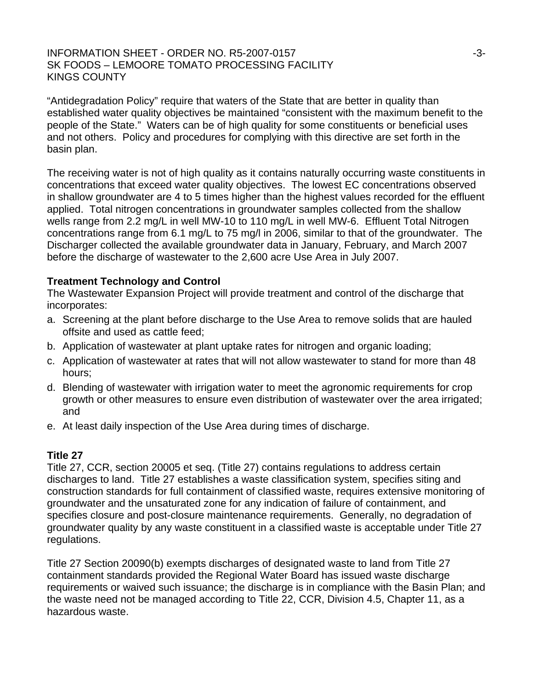#### INFORMATION SHEET - ORDER NO. R5-2007-0157 **1998 - 1999 - 1999 - 1999 - 1999** - 3-SK FOODS – LEMOORE TOMATO PROCESSING FACILITY KINGS COUNTY

"Antidegradation Policy" require that waters of the State that are better in quality than established water quality objectives be maintained "consistent with the maximum benefit to the people of the State." Waters can be of high quality for some constituents or beneficial uses and not others. Policy and procedures for complying with this directive are set forth in the basin plan.

The receiving water is not of high quality as it contains naturally occurring waste constituents in concentrations that exceed water quality objectives. The lowest EC concentrations observed in shallow groundwater are 4 to 5 times higher than the highest values recorded for the effluent applied. Total nitrogen concentrations in groundwater samples collected from the shallow wells range from 2.2 mg/L in well MW-10 to 110 mg/L in well MW-6. Effluent Total Nitrogen concentrations range from 6.1 mg/L to 75 mg/l in 2006, similar to that of the groundwater. The Discharger collected the available groundwater data in January, February, and March 2007 before the discharge of wastewater to the 2,600 acre Use Area in July 2007.

### **Treatment Technology and Control**

The Wastewater Expansion Project will provide treatment and control of the discharge that incorporates:

- a. Screening at the plant before discharge to the Use Area to remove solids that are hauled offsite and used as cattle feed;
- b. Application of wastewater at plant uptake rates for nitrogen and organic loading;
- c. Application of wastewater at rates that will not allow wastewater to stand for more than 48 hours;
- d. Blending of wastewater with irrigation water to meet the agronomic requirements for crop growth or other measures to ensure even distribution of wastewater over the area irrigated; and
- e. At least daily inspection of the Use Area during times of discharge.

### **Title 27**

Title 27, CCR, section 20005 et seq. (Title 27) contains regulations to address certain discharges to land. Title 27 establishes a waste classification system, specifies siting and construction standards for full containment of classified waste, requires extensive monitoring of groundwater and the unsaturated zone for any indication of failure of containment, and specifies closure and post-closure maintenance requirements. Generally, no degradation of groundwater quality by any waste constituent in a classified waste is acceptable under Title 27 regulations.

Title 27 Section 20090(b) exempts discharges of designated waste to land from Title 27 containment standards provided the Regional Water Board has issued waste discharge requirements or waived such issuance; the discharge is in compliance with the Basin Plan; and the waste need not be managed according to Title 22, CCR, Division 4.5, Chapter 11, as a hazardous waste.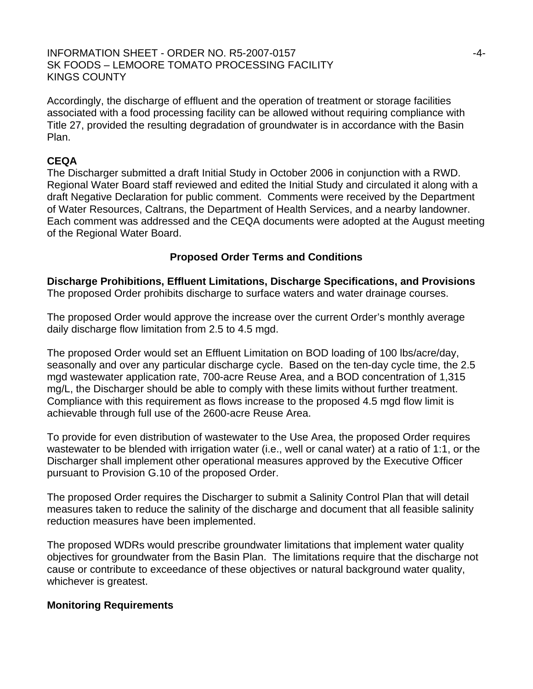#### INFORMATION SHEET - ORDER NO. R5-2007-0157 -4- SK FOODS – LEMOORE TOMATO PROCESSING FACILITY KINGS COUNTY

Accordingly, the discharge of effluent and the operation of treatment or storage facilities associated with a food processing facility can be allowed without requiring compliance with Title 27, provided the resulting degradation of groundwater is in accordance with the Basin Plan.

#### **CEQA**

The Discharger submitted a draft Initial Study in October 2006 in conjunction with a RWD. Regional Water Board staff reviewed and edited the Initial Study and circulated it along with a draft Negative Declaration for public comment. Comments were received by the Department of Water Resources, Caltrans, the Department of Health Services, and a nearby landowner. Each comment was addressed and the CEQA documents were adopted at the August meeting of the Regional Water Board.

#### **Proposed Order Terms and Conditions**

**Discharge Prohibitions, Effluent Limitations, Discharge Specifications, and Provisions**  The proposed Order prohibits discharge to surface waters and water drainage courses.

The proposed Order would approve the increase over the current Order's monthly average daily discharge flow limitation from 2.5 to 4.5 mgd.

The proposed Order would set an Effluent Limitation on BOD loading of 100 lbs/acre/day, seasonally and over any particular discharge cycle. Based on the ten-day cycle time, the 2.5 mgd wastewater application rate, 700-acre Reuse Area, and a BOD concentration of 1,315 mg/L, the Discharger should be able to comply with these limits without further treatment. Compliance with this requirement as flows increase to the proposed 4.5 mgd flow limit is achievable through full use of the 2600-acre Reuse Area.

To provide for even distribution of wastewater to the Use Area, the proposed Order requires wastewater to be blended with irrigation water (i.e., well or canal water) at a ratio of 1:1, or the Discharger shall implement other operational measures approved by the Executive Officer pursuant to Provision G.10 of the proposed Order.

The proposed Order requires the Discharger to submit a Salinity Control Plan that will detail measures taken to reduce the salinity of the discharge and document that all feasible salinity reduction measures have been implemented.

The proposed WDRs would prescribe groundwater limitations that implement water quality objectives for groundwater from the Basin Plan. The limitations require that the discharge not cause or contribute to exceedance of these objectives or natural background water quality, whichever is greatest.

#### **Monitoring Requirements**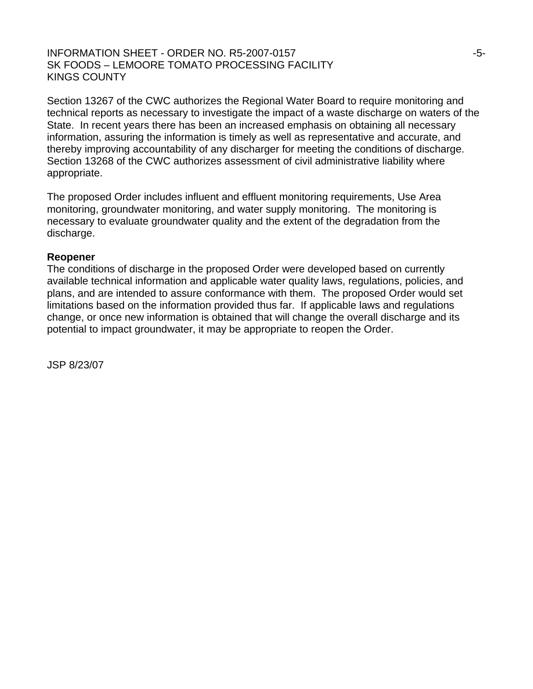#### INFORMATION SHEET - ORDER NO. R5-2007-0157 **1998 - 1999 - 1999** - 5-SK FOODS – LEMOORE TOMATO PROCESSING FACILITY KINGS COUNTY

Section 13267 of the CWC authorizes the Regional Water Board to require monitoring and technical reports as necessary to investigate the impact of a waste discharge on waters of the State. In recent years there has been an increased emphasis on obtaining all necessary information, assuring the information is timely as well as representative and accurate, and thereby improving accountability of any discharger for meeting the conditions of discharge. Section 13268 of the CWC authorizes assessment of civil administrative liability where appropriate.

The proposed Order includes influent and effluent monitoring requirements, Use Area monitoring, groundwater monitoring, and water supply monitoring. The monitoring is necessary to evaluate groundwater quality and the extent of the degradation from the discharge.

#### **Reopener**

The conditions of discharge in the proposed Order were developed based on currently available technical information and applicable water quality laws, regulations, policies, and plans, and are intended to assure conformance with them. The proposed Order would set limitations based on the information provided thus far. If applicable laws and regulations change, or once new information is obtained that will change the overall discharge and its potential to impact groundwater, it may be appropriate to reopen the Order.

JSP 8/23/07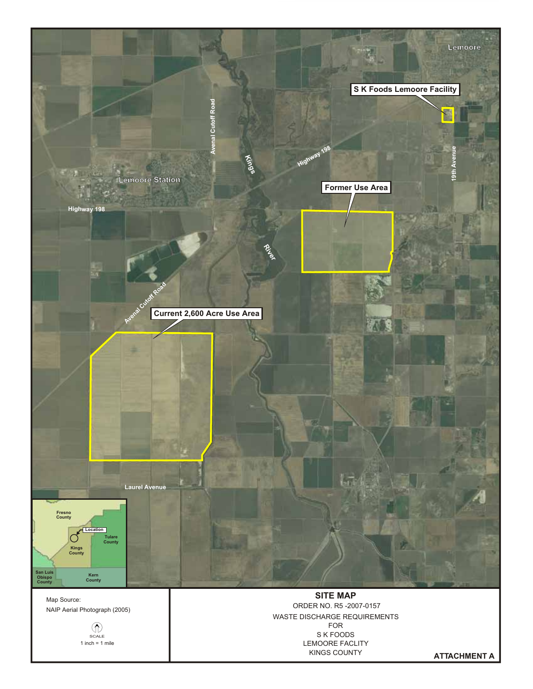

SCALE  $\binom{2}{x}$  WASTE DISCHARGE REQUIREMENTS<br>FOR S K FOODS LEMOORE FACLITY KINGS COUNTY

**ATTACHMENT A**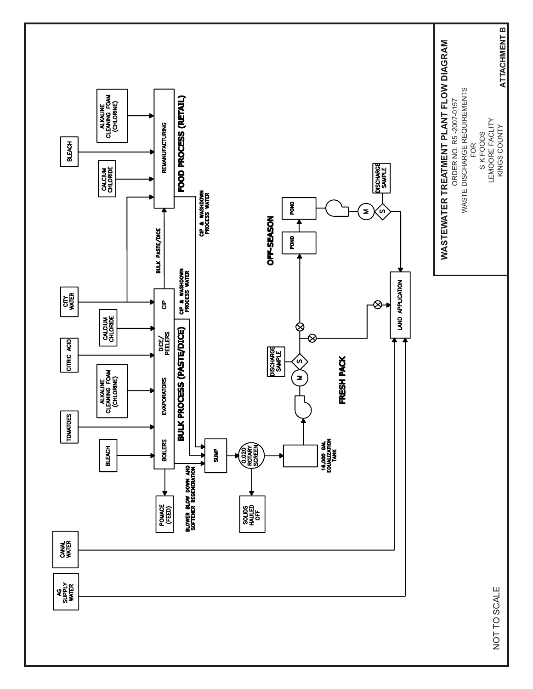